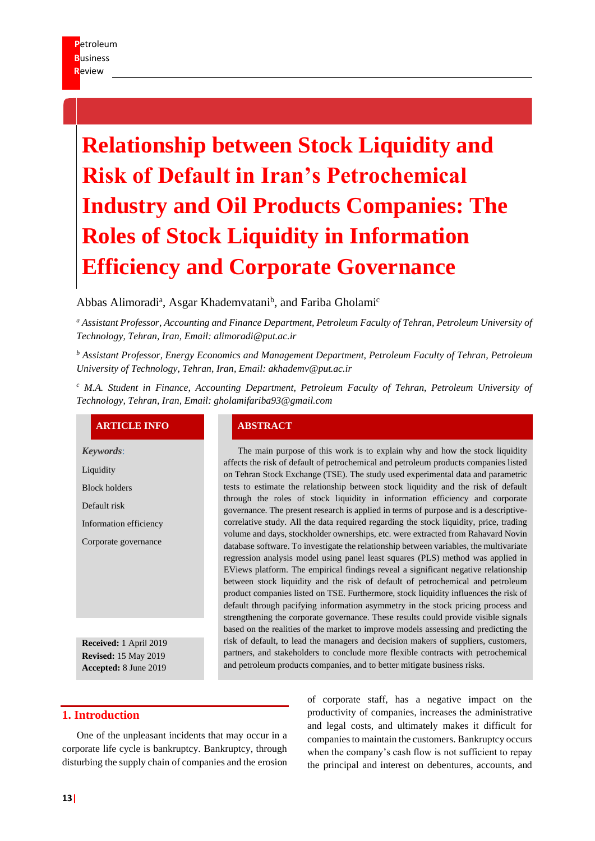# **Relationship between Stock Liquidity and Risk of Default in Iran's Petrochemical Industry and Oil Products Companies: The Roles of Stock Liquidity in Information Efficiency and Corporate Governance**

# Abbas Alimoradi<sup>a</sup>, Asgar Khademvatani<sup>b</sup>, and Fariba Gholami<sup>c</sup>

*<sup>a</sup> Assistant Professor, Accounting and Finance Department, Petroleum Faculty of Tehran, Petroleum University of Technology, Tehran, Iran, Email: alimoradi@put.ac.ir*

*<sup>b</sup> Assistant Professor, Energy Economics and Management Department, Petroleum Faculty of Tehran, Petroleum University of Technology, Tehran, Iran, Email: akhademv@put.ac.ir*

*<sup>c</sup> M.A. Student in Finance, Accounting Department, Petroleum Faculty of Tehran, Petroleum University of Technology, Tehran, Iran, Email: gholamifariba93@gmail.com*

# **ARTICLE INFO ABSTRACT**

*Keywords*:

Liquidity

Block holders

Default risk

Information efficiency

Corporate governance

**Received:** 1 April 2019 **Revised:** 15 May 2019 **Accepted:** 8 June 2019

The main purpose of this work is to explain why and how the stock liquidity affects the risk of default of petrochemical and petroleum products companies listed on Tehran Stock Exchange (TSE). The study used experimental data and parametric tests to estimate the relationship between stock liquidity and the risk of default through the roles of stock liquidity in information efficiency and corporate governance. The present research is applied in terms of purpose and is a descriptivecorrelative study. All the data required regarding the stock liquidity, price, trading volume and days, stockholder ownerships, etc. were extracted from Rahavard Novin database software. To investigate the relationship between variables, the multivariate regression analysis model using panel least squares (PLS) method was applied in EViews platform. The empirical findings reveal a significant negative relationship between stock liquidity and the risk of default of petrochemical and petroleum product companies listed on TSE. Furthermore, stock liquidity influences the risk of default through pacifying information asymmetry in the stock pricing process and strengthening the corporate governance. These results could provide visible signals based on the realities of the market to improve models assessing and predicting the risk of default, to lead the managers and decision makers of suppliers, customers, partners, and stakeholders to conclude more flexible contracts with petrochemical and petroleum products companies, and to better mitigate business risks.

### **1. Introduction**

One of the unpleasant incidents that may occur in a corporate life cycle is bankruptcy. Bankruptcy, through disturbing the supply chain of companies and the erosion

of corporate staff, has a negative impact on the productivity of companies, increases the administrative and legal costs, and ultimately makes it difficult for companies to maintain the customers. Bankruptcy occurs when the company's cash flow is not sufficient to repay the principal and interest on debentures, accounts, and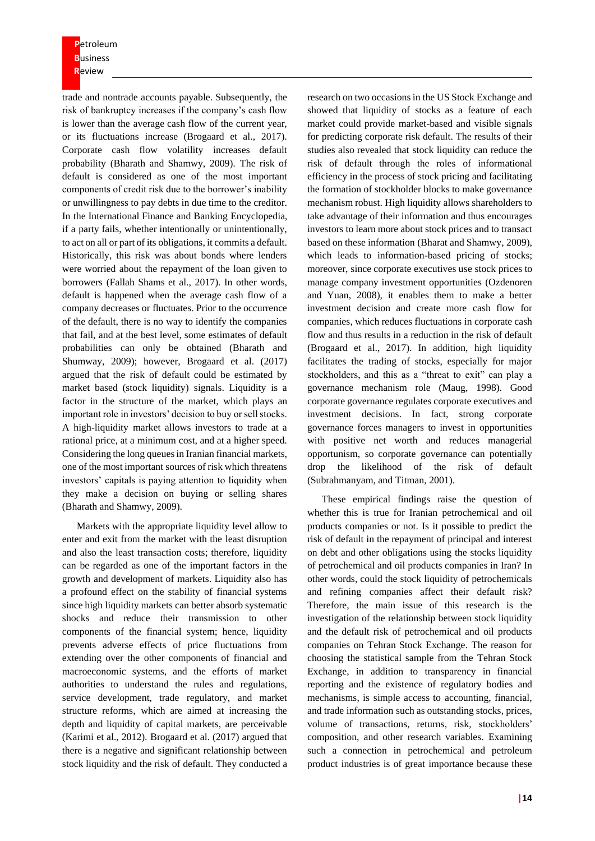**P**etroleum **B**usiness **R**eview

trade and nontrade accounts payable. Subsequently, the risk of bankruptcy increases if the company's cash flow is lower than the average cash flow of the current year, or its fluctuations increase (Brogaard et al., 2017). Corporate cash flow volatility increases default probability (Bharath and Shamwy, 2009). The risk of default is considered as one of the most important components of credit risk due to the borrower's inability or unwillingness to pay debts in due time to the creditor. In the International Finance and Banking Encyclopedia, if a party fails, whether intentionally or unintentionally, to act on all or part of its obligations, it commits a default. Historically, this risk was about bonds where lenders were worried about the repayment of the loan given to borrowers (Fallah Shams et al., 2017). In other words, default is happened when the average cash flow of a company decreases or fluctuates. Prior to the occurrence of the default, there is no way to identify the companies that fail, and at the best level, some estimates of default probabilities can only be obtained (Bharath and Shumway, 2009); however, Brogaard et al. (2017) argued that the risk of default could be estimated by market based (stock liquidity) signals. Liquidity is a factor in the structure of the market, which plays an important role in investors' decision to buy or sell stocks. A high-liquidity market allows investors to trade at a rational price, at a minimum cost, and at a higher speed. Considering the long queues in Iranian financial markets, one of the most important sources of risk which threatens investors' capitals is paying attention to liquidity when they make a decision on buying or selling shares (Bharath and Shamwy, 2009).

Markets with the appropriate liquidity level allow to enter and exit from the market with the least disruption and also the least transaction costs; therefore, liquidity can be regarded as one of the important factors in the growth and development of markets. Liquidity also has a profound effect on the stability of financial systems since high liquidity markets can better absorb systematic shocks and reduce their transmission to other components of the financial system; hence, liquidity prevents adverse effects of price fluctuations from extending over the other components of financial and macroeconomic systems, and the efforts of market authorities to understand the rules and regulations, service development, trade regulatory, and market structure reforms, which are aimed at increasing the depth and liquidity of capital markets, are perceivable (Karimi et al., 2012). Brogaard et al. (2017) argued that there is a negative and significant relationship between stock liquidity and the risk of default. They conducted a research on two occasions in the US Stock Exchange and showed that liquidity of stocks as a feature of each market could provide market-based and visible signals for predicting corporate risk default. The results of their studies also revealed that stock liquidity can reduce the risk of default through the roles of informational efficiency in the process of stock pricing and facilitating the formation of stockholder blocks to make governance mechanism robust. High liquidity allows shareholders to take advantage of their information and thus encourages investors to learn more about stock prices and to transact based on these information (Bharat and Shamwy, 2009), which leads to information-based pricing of stocks; moreover, since corporate executives use stock prices to manage company investment opportunities (Ozdenoren and Yuan, 2008), it enables them to make a better investment decision and create more cash flow for companies, which reduces fluctuations in corporate cash flow and thus results in a reduction in the risk of default (Brogaard et al., 2017). In addition, high liquidity facilitates the trading of stocks, especially for major stockholders, and this as a "threat to exit" can play a governance mechanism role (Maug, 1998). Good corporate governance regulates corporate executives and investment decisions. In fact, strong corporate governance forces managers to invest in opportunities with positive net worth and reduces managerial opportunism, so corporate governance can potentially drop the likelihood of the risk of default (Subrahmanyam, and Titman, 2001).

These empirical findings raise the question of whether this is true for Iranian petrochemical and oil products companies or not. Is it possible to predict the risk of default in the repayment of principal and interest on debt and other obligations using the stocks liquidity of petrochemical and oil products companies in Iran? In other words, could the stock liquidity of petrochemicals and refining companies affect their default risk? Therefore, the main issue of this research is the investigation of the relationship between stock liquidity and the default risk of petrochemical and oil products companies on Tehran Stock Exchange. The reason for choosing the statistical sample from the Tehran Stock Exchange, in addition to transparency in financial reporting and the existence of regulatory bodies and mechanisms, is simple access to accounting, financial, and trade information such as outstanding stocks, prices, volume of transactions, returns, risk, stockholders' composition, and other research variables. Examining such a connection in petrochemical and petroleum product industries is of great importance because these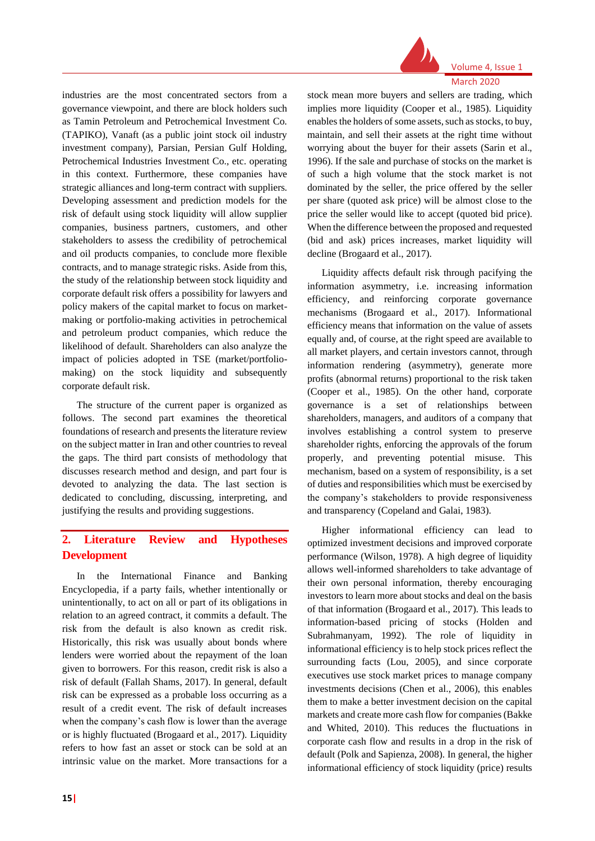

Volume 4, Issue 1 March 2020

# industries are the most concentrated sectors from a governance viewpoint, and there are block holders such as Tamin Petroleum and Petrochemical Investment Co. (TAPIKO), Vanaft (as a public joint stock oil industry investment company), Parsian, Persian Gulf Holding, Petrochemical Industries Investment Co., etc. operating in this context. Furthermore, these companies have strategic alliances and long-term contract with suppliers. Developing assessment and prediction models for the risk of default using stock liquidity will allow supplier companies, business partners, customers, and other stakeholders to assess the credibility of petrochemical and oil products companies, to conclude more flexible contracts, and to manage strategic risks. Aside from this, the study of the relationship between stock liquidity and corporate default risk offers a possibility for lawyers and policy makers of the capital market to focus on marketmaking or portfolio-making activities in petrochemical and petroleum product companies, which reduce the likelihood of default. Shareholders can also analyze the impact of policies adopted in TSE (market/portfoliomaking) on the stock liquidity and subsequently corporate default risk.

The structure of the current paper is organized as follows. The second part examines the theoretical foundations of research and presents the literature review on the subject matter in Iran and other countries to reveal the gaps. The third part consists of methodology that discusses research method and design, and part four is devoted to analyzing the data. The last section is dedicated to concluding, discussing, interpreting, and justifying the results and providing suggestions.

# **2. Literature Review and Hypotheses Development**

In the International Finance and Banking Encyclopedia, if a party fails, whether intentionally or unintentionally, to act on all or part of its obligations in relation to an agreed contract, it commits a default. The risk from the default is also known as credit risk. Historically, this risk was usually about bonds where lenders were worried about the repayment of the loan given to borrowers. For this reason, credit risk is also a risk of default (Fallah Shams, 2017). In general, default risk can be expressed as a probable loss occurring as a result of a credit event. The risk of default increases when the company's cash flow is lower than the average or is highly fluctuated (Brogaard et al., 2017). Liquidity refers to how fast an asset or stock can be sold at an intrinsic value on the market. More transactions for a stock mean more buyers and sellers are trading, which implies more liquidity (Cooper et al., 1985). Liquidity enables the holders of some assets, such as stocks, to buy, maintain, and sell their assets at the right time without worrying about the buyer for their assets (Sarin et al., 1996). If the sale and purchase of stocks on the market is of such a high volume that the stock market is not dominated by the seller, the price offered by the seller per share (quoted ask price) will be almost close to the price the seller would like to accept (quoted bid price). When the difference between the proposed and requested (bid and ask) prices increases, market liquidity will decline (Brogaard et al., 2017).

Liquidity affects default risk through pacifying the information asymmetry, i.e. increasing information efficiency, and reinforcing corporate governance mechanisms (Brogaard et al., 2017). Informational efficiency means that information on the value of assets equally and, of course, at the right speed are available to all market players, and certain investors cannot, through information rendering (asymmetry), generate more profits (abnormal returns) proportional to the risk taken (Cooper et al., 1985). On the other hand, corporate governance is a set of relationships between shareholders, managers, and auditors of a company that involves establishing a control system to preserve shareholder rights, enforcing the approvals of the forum properly, and preventing potential misuse. This mechanism, based on a system of responsibility, is a set of duties and responsibilities which must be exercised by the company's stakeholders to provide responsiveness and transparency (Copeland and Galai, 1983).

Higher informational efficiency can lead to optimized investment decisions and improved corporate performance (Wilson, 1978). A high degree of liquidity allows well-informed shareholders to take advantage of their own personal information, thereby encouraging investors to learn more about stocks and deal on the basis of that information (Brogaard et al., 2017). This leads to information-based pricing of stocks (Holden and Subrahmanyam, 1992). The role of liquidity in informational efficiency is to help stock prices reflect the surrounding facts (Lou, 2005), and since corporate executives use stock market prices to manage company investments decisions (Chen et al., 2006), this enables them to make a better investment decision on the capital markets and create more cash flow for companies (Bakke and Whited, 2010). This reduces the fluctuations in corporate cash flow and results in a drop in the risk of default (Polk and Sapienza, 2008). In general, the higher informational efficiency of stock liquidity (price) results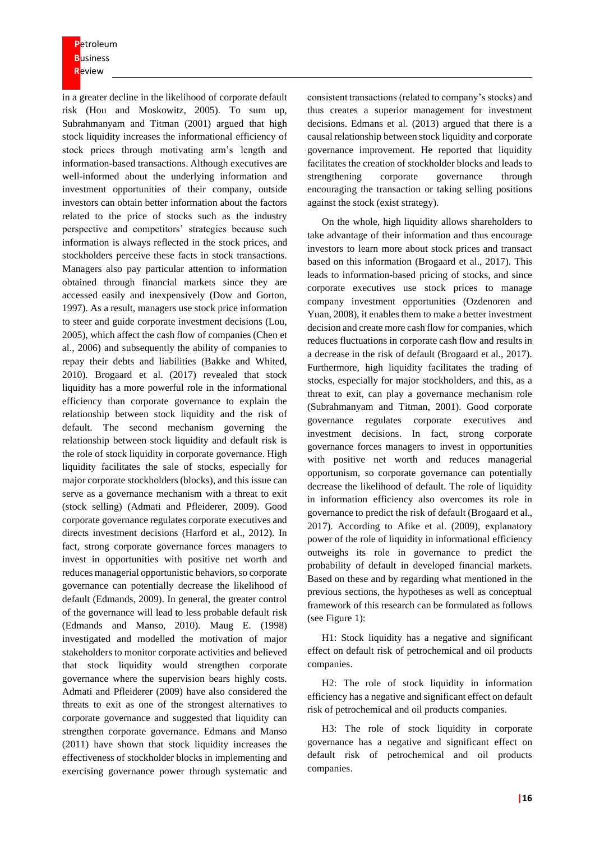**P**etroleum **B**usiness **R**eview

in a greater decline in the likelihood of corporate default risk (Hou and Moskowitz, 2005). To sum up, Subrahmanyam and Titman (2001) argued that high stock liquidity increases the informational efficiency of stock prices through motivating arm's length and information-based transactions. Although executives are well-informed about the underlying information and investment opportunities of their company, outside investors can obtain better information about the factors related to the price of stocks such as the industry perspective and competitors' strategies because such information is always reflected in the stock prices, and stockholders perceive these facts in stock transactions. Managers also pay particular attention to information obtained through financial markets since they are accessed easily and inexpensively (Dow and Gorton, 1997). As a result, managers use stock price information to steer and guide corporate investment decisions (Lou, 2005), which affect the cash flow of companies (Chen et al., 2006) and subsequently the ability of companies to repay their debts and liabilities (Bakke and Whited, 2010). Brogaard et al. (2017) revealed that stock liquidity has a more powerful role in the informational efficiency than corporate governance to explain the relationship between stock liquidity and the risk of default. The second mechanism governing the relationship between stock liquidity and default risk is the role of stock liquidity in corporate governance. High liquidity facilitates the sale of stocks, especially for major corporate stockholders (blocks), and this issue can serve as a governance mechanism with a threat to exit (stock selling) (Admati and Pfleiderer, 2009). Good corporate governance regulates corporate executives and directs investment decisions (Harford et al., 2012). In fact, strong corporate governance forces managers to invest in opportunities with positive net worth and reduces managerial opportunistic behaviors, so corporate governance can potentially decrease the likelihood of default (Edmands, 2009). In general, the greater control of the governance will lead to less probable default risk (Edmands and Manso, 2010). Maug E. (1998) investigated and modelled the motivation of major stakeholders to monitor corporate activities and believed that stock liquidity would strengthen corporate governance where the supervision bears highly costs. Admati and Pfleiderer (2009) have also considered the threats to exit as one of the strongest alternatives to corporate governance and suggested that liquidity can strengthen corporate governance. Edmans and Manso (2011) have shown that stock liquidity increases the effectiveness of stockholder blocks in implementing and exercising governance power through systematic and

consistent transactions (related to company's stocks) and thus creates a superior management for investment decisions. Edmans et al. (2013) argued that there is a causal relationship between stock liquidity and corporate governance improvement. He reported that liquidity facilitates the creation of stockholder blocks and leads to strengthening corporate governance through encouraging the transaction or taking selling positions against the stock (exist strategy).

On the whole, high liquidity allows shareholders to take advantage of their information and thus encourage investors to learn more about stock prices and transact based on this information (Brogaard et al., 2017). This leads to information-based pricing of stocks, and since corporate executives use stock prices to manage company investment opportunities (Ozdenoren and Yuan, 2008), it enables them to make a better investment decision and create more cash flow for companies, which reduces fluctuations in corporate cash flow and results in a decrease in the risk of default (Brogaard et al., 2017). Furthermore, high liquidity facilitates the trading of stocks, especially for major stockholders, and this, as a threat to exit, can play a governance mechanism role (Subrahmanyam and Titman, 2001). Good corporate governance regulates corporate executives and investment decisions. In fact, strong corporate governance forces managers to invest in opportunities with positive net worth and reduces managerial opportunism, so corporate governance can potentially decrease the likelihood of default. The role of liquidity in information efficiency also overcomes its role in governance to predict the risk of default (Brogaard et al., 2017). According to Afike et al. (2009), explanatory power of the role of liquidity in informational efficiency outweighs its role in governance to predict the probability of default in developed financial markets. Based on these and by regarding what mentioned in the previous sections, the hypotheses as well as conceptual framework of this research can be formulated as follows (see Figure 1):

H1: Stock liquidity has a negative and significant effect on default risk of petrochemical and oil products companies.

H2: The role of stock liquidity in information efficiency has a negative and significant effect on default risk of petrochemical and oil products companies.

H3: The role of stock liquidity in corporate governance has a negative and significant effect on default risk of petrochemical and oil products companies.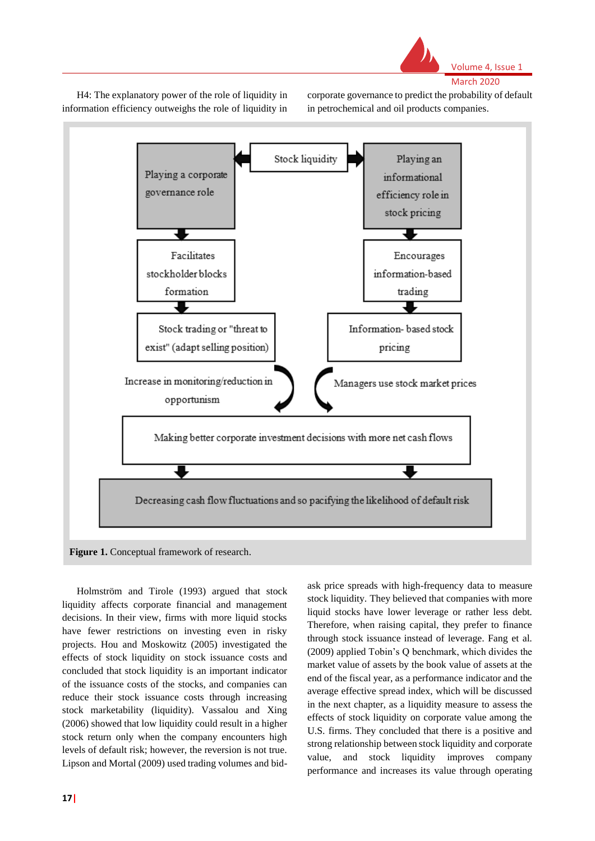

Volume 4, Issue 1 March 2020

H4: The explanatory power of the role of liquidity in information efficiency outweighs the role of liquidity in corporate governance to predict the probability of default in petrochemical and oil products companies.



Holmström and Tirole (1993) argued that stock liquidity affects corporate financial and management decisions. In their view, firms with more liquid stocks have fewer restrictions on investing even in risky projects. Hou and Moskowitz (2005) investigated the effects of stock liquidity on stock issuance costs and concluded that stock liquidity is an important indicator of the issuance costs of the stocks, and companies can reduce their stock issuance costs through increasing stock marketability (liquidity). Vassalou and Xing (2006) showed that low liquidity could result in a higher stock return only when the company encounters high levels of default risk; however, the reversion is not true. Lipson and Mortal (2009) used trading volumes and bidask price spreads with high-frequency data to measure stock liquidity. They believed that companies with more liquid stocks have lower leverage or rather less debt. Therefore, when raising capital, they prefer to finance through stock issuance instead of leverage. Fang et al. (2009) applied Tobin's Q benchmark, which divides the market value of assets by the book value of assets at the end of the fiscal year, as a performance indicator and the average effective spread index, which will be discussed in the next chapter, as a liquidity measure to assess the effects of stock liquidity on corporate value among the U.S. firms. They concluded that there is a positive and strong relationship between stock liquidity and corporate value, and stock liquidity improves company performance and increases its value through operating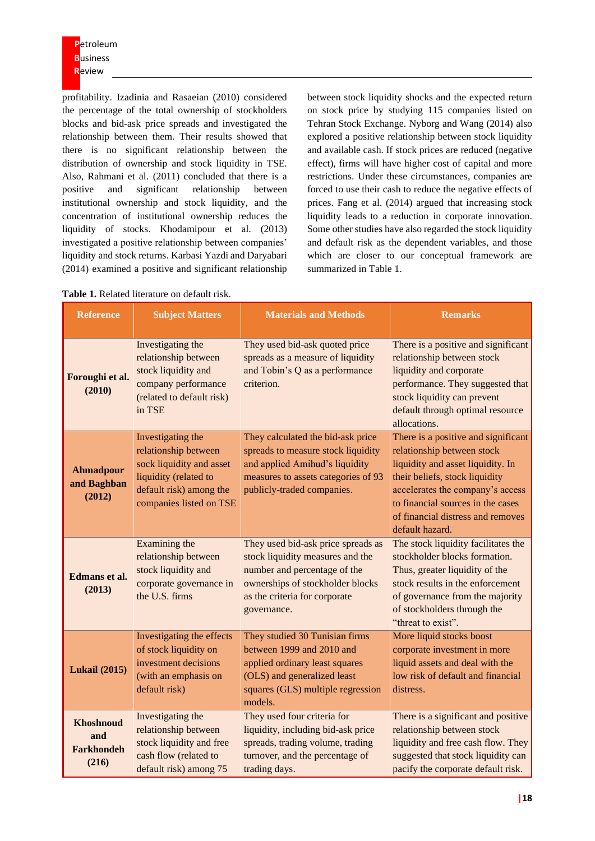profitability. Izadinia and Rasaeian (2010) considered the percentage of the total ownership of stockholders blocks and bid-ask price spreads and investigated the relationship between them. Their results showed that there is no significant relationship between the distribution of ownership and stock liquidity in TSE. Also, Rahmani et al. (2011) concluded that there is a positive and significant relationship between institutional ownership and stock liquidity, and the concentration of institutional ownership reduces the liquidity of stocks. Khodamipour et al. (2013) investigated a positive relationship between companies' liquidity and stock returns. Karbasi Yazdi and Daryabari (2014) examined a positive and significant relationship

between stock liquidity shocks and the expected return on stock price by studying 115 companies listed on Tehran Stock Exchange. Nyborg and Wang (2014) also explored a positive relationship between stock liquidity and available cash. If stock prices are reduced (negative effect), firms will have higher cost of capital and more restrictions. Under these circumstances, companies are forced to use their cash to reduce the negative effects of prices. Fang et al. (2014) argued that increasing stock liquidity leads to a reduction in corporate innovation. Some other studies have also regarded the stock liquidity and default risk as the dependent variables, and those which are closer to our conceptual framework are summarized in Table 1.

| <b>Reference</b>                                      | <b>Subject Matters</b>                                                                                                                               | <b>Materials and Methods</b>                                                                                                                                                               | <b>Remarks</b>                                                                                                                                                                                                                                                            |
|-------------------------------------------------------|------------------------------------------------------------------------------------------------------------------------------------------------------|--------------------------------------------------------------------------------------------------------------------------------------------------------------------------------------------|---------------------------------------------------------------------------------------------------------------------------------------------------------------------------------------------------------------------------------------------------------------------------|
| Foroughi et al.<br>(2010)                             | Investigating the<br>relationship between<br>stock liquidity and<br>company performance<br>(related to default risk)<br>in TSE                       | They used bid-ask quoted price<br>spreads as a measure of liquidity<br>and Tobin's Q as a performance<br>criterion.                                                                        | There is a positive and significant<br>relationship between stock<br>liquidity and corporate<br>performance. They suggested that<br>stock liquidity can prevent<br>default through optimal resource<br>allocations.                                                       |
| <b>Ahmadpour</b><br>and Baghban<br>(2012)             | Investigating the<br>relationship between<br>sock liquidity and asset<br>liquidity (related to<br>default risk) among the<br>companies listed on TSE | They calculated the bid-ask price<br>spreads to measure stock liquidity<br>and applied Amihud's liquidity<br>measures to assets categories of 93<br>publicly-traded companies.             | There is a positive and significant<br>relationship between stock<br>liquidity and asset liquidity. In<br>their beliefs, stock liquidity<br>accelerates the company's access<br>to financial sources in the cases<br>of financial distress and removes<br>default hazard. |
| Edmans et al.<br>(2013)                               | Examining the<br>relationship between<br>stock liquidity and<br>corporate governance in<br>the U.S. firms                                            | They used bid-ask price spreads as<br>stock liquidity measures and the<br>number and percentage of the<br>ownerships of stockholder blocks<br>as the criteria for corporate<br>governance. | The stock liquidity facilitates the<br>stockholder blocks formation.<br>Thus, greater liquidity of the<br>stock results in the enforcement<br>of governance from the majority<br>of stockholders through the<br>"threat to exist".                                        |
| <b>Lukail</b> (2015)                                  | Investigating the effects<br>of stock liquidity on<br>investment decisions<br>(with an emphasis on<br>default risk)                                  | They studied 30 Tunisian firms<br>between 1999 and 2010 and<br>applied ordinary least squares<br>(OLS) and generalized least<br>squares (GLS) multiple regression<br>models.               | More liquid stocks boost<br>corporate investment in more<br>liquid assets and deal with the<br>low risk of default and financial<br>distress.                                                                                                                             |
| <b>Khoshnoud</b><br>and<br><b>Farkhondeh</b><br>(216) | Investigating the<br>relationship between<br>stock liquidity and free<br>cash flow (related to<br>default risk) among 75                             | They used four criteria for<br>liquidity, including bid-ask price<br>spreads, trading volume, trading<br>turnover, and the percentage of<br>trading days.                                  | There is a significant and positive<br>relationship between stock<br>liquidity and free cash flow. They<br>suggested that stock liquidity can<br>pacify the corporate default risk.                                                                                       |

**Table 1.** Related literature on default risk.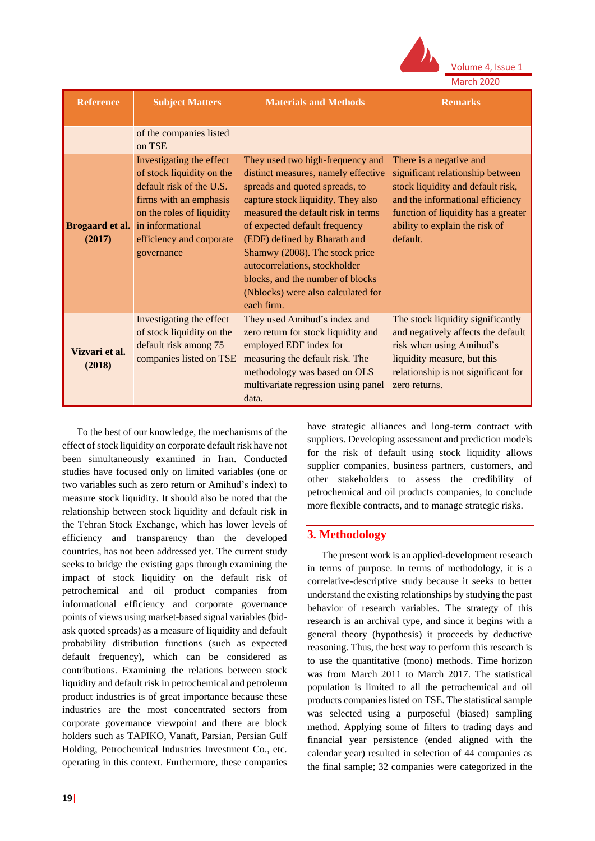

Volume 4, Issue 1

|  | <b>March 2020</b> |  |
|--|-------------------|--|

| <b>Reference</b>         | <b>Subject Matters</b>                                                                                                                                                                                                        | <b>Materials and Methods</b>                                                                                                                                                                                                                                                                                                                                                                                      | <b>Remarks</b>                                                                                                                                                                                                            |
|--------------------------|-------------------------------------------------------------------------------------------------------------------------------------------------------------------------------------------------------------------------------|-------------------------------------------------------------------------------------------------------------------------------------------------------------------------------------------------------------------------------------------------------------------------------------------------------------------------------------------------------------------------------------------------------------------|---------------------------------------------------------------------------------------------------------------------------------------------------------------------------------------------------------------------------|
|                          | of the companies listed<br>on TSE                                                                                                                                                                                             |                                                                                                                                                                                                                                                                                                                                                                                                                   |                                                                                                                                                                                                                           |
| (2017)                   | Investigating the effect<br>of stock liquidity on the<br>default risk of the U.S.<br>firms with an emphasis<br>on the roles of liquidity<br><b>Brogaard et al.</b> in informational<br>efficiency and corporate<br>governance | They used two high-frequency and<br>distinct measures, namely effective<br>spreads and quoted spreads, to<br>capture stock liquidity. They also<br>measured the default risk in terms<br>of expected default frequency<br>(EDF) defined by Bharath and<br>Shamwy (2008). The stock price<br>autocorrelations, stockholder<br>blocks, and the number of blocks<br>(Nblocks) were also calculated for<br>each firm. | There is a negative and<br>significant relationship between<br>stock liquidity and default risk,<br>and the informational efficiency<br>function of liquidity has a greater<br>ability to explain the risk of<br>default. |
| Vizvari et al.<br>(2018) | Investigating the effect<br>of stock liquidity on the<br>default risk among 75<br>companies listed on TSE                                                                                                                     | They used Amihud's index and<br>zero return for stock liquidity and<br>employed EDF index for<br>measuring the default risk. The<br>methodology was based on OLS<br>multivariate regression using panel<br>data.                                                                                                                                                                                                  | The stock liquidity significantly<br>and negatively affects the default<br>risk when using Amihud's<br>liquidity measure, but this<br>relationship is not significant for<br>zero returns.                                |

To the best of our knowledge, the mechanisms of the effect of stock liquidity on corporate default risk have not been simultaneously examined in Iran. Conducted studies have focused only on limited variables (one or two variables such as zero return or Amihud's index) to measure stock liquidity. It should also be noted that the relationship between stock liquidity and default risk in the Tehran Stock Exchange, which has lower levels of efficiency and transparency than the developed countries, has not been addressed yet. The current study seeks to bridge the existing gaps through examining the impact of stock liquidity on the default risk of petrochemical and oil product companies from informational efficiency and corporate governance points of views using market-based signal variables (bidask quoted spreads) as a measure of liquidity and default probability distribution functions (such as expected default frequency), which can be considered as contributions. Examining the relations between stock liquidity and default risk in petrochemical and petroleum product industries is of great importance because these industries are the most concentrated sectors from corporate governance viewpoint and there are block holders such as TAPIKO, Vanaft, Parsian, Persian Gulf Holding, Petrochemical Industries Investment Co., etc. operating in this context. Furthermore, these companies

have strategic alliances and long-term contract with suppliers. Developing assessment and prediction models for the risk of default using stock liquidity allows supplier companies, business partners, customers, and other stakeholders to assess the credibility of petrochemical and oil products companies, to conclude more flexible contracts, and to manage strategic risks.

### **3. Methodology**

The present work is an applied-development research in terms of purpose. In terms of methodology, it is a correlative-descriptive study because it seeks to better understand the existing relationships by studying the past behavior of research variables. The strategy of this research is an archival type, and since it begins with a general theory (hypothesis) it proceeds by deductive reasoning. Thus, the best way to perform this research is to use the quantitative (mono) methods. Time horizon was from March 2011 to March 2017. The statistical population is limited to all the petrochemical and oil products companies listed on TSE. The statistical sample was selected using a purposeful (biased) sampling method. Applying some of filters to trading days and financial year persistence (ended aligned with the calendar year) resulted in selection of 44 companies as the final sample; 32 companies were categorized in the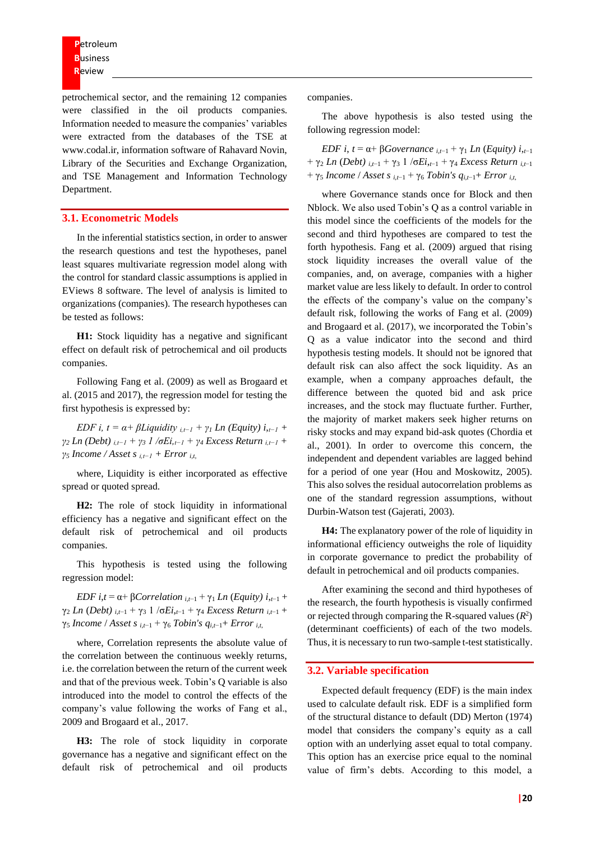petrochemical sector, and the remaining 12 companies were classified in the oil products companies. Information needed to measure the companies' variables were extracted from the databases of the TSE at www.codal.ir, information software of Rahavard Novin, Library of the Securities and Exchange Organization, and TSE Management and Information Technology Department.

#### **3.1. Econometric Models**

In the inferential statistics section, in order to answer the research questions and test the hypotheses, panel least squares multivariate regression model along with the control for standard classic assumptions is applied in EViews 8 software. The level of analysis is limited to organizations (companies). The research hypotheses can be tested as follows:

**H1:** Stock liquidity has a negative and significant effect on default risk of petrochemical and oil products companies.

Following Fang et al. (2009) as well as Brogaard et al. (2015 and 2017), the regression model for testing the first hypothesis is expressed by:

*EDF i, t* =  $\alpha$ +  $\beta$ *Liquidity*  $i,t-1 + \gamma$ <sup>*I*</sup> *Ln (Equity)*  $i,t-1$  + *γ<sup>2</sup> Ln (Debt) i,t−1 + γ<sup>3</sup> 1 /σEi,t−1 + γ<sup>4</sup> Excess Return i,t−1 +*   $γ<sub>5</sub>$  *Income / Asset s*  $i<sub>t-1</sub>$  + Error  $i<sub>t</sub>$ ,

where, Liquidity is either incorporated as effective spread or quoted spread.

**H2:** The role of stock liquidity in informational efficiency has a negative and significant effect on the default risk of petrochemical and oil products companies.

This hypothesis is tested using the following regression model:

*EDF i*, $t = \alpha + \beta$ *Correlation*  $i_{t-1} + \gamma_1$  *Ln (Equity)*  $i_{t-1} +$  $γ_2$  *Ln* (*Debt*)  $_{i,t-1}$  +  $γ_3$  1 /σ*Ei*, $_{t-1}$  +  $γ_4$  *Excess Return*  $_{i,t-1}$  + γ<sup>5</sup> *Income* / *Asset s i*,*t*−1 + γ<sup>6</sup> *Tobin's qi*,*t*−1+ *Error i*,*t*,

where, Correlation represents the absolute value of the correlation between the continuous weekly returns, i.e. the correlation between the return of the current week and that of the previous week. Tobin's Q variable is also introduced into the model to control the effects of the company's value following the works of Fang et al., 2009 and Brogaard et al., 2017.

**H3:** The role of stock liquidity in corporate governance has a negative and significant effect on the default risk of petrochemical and oil products companies.

The above hypothesis is also tested using the following regression model:

*EDF i*,  $t = \alpha + \beta Govername{average}$  *i*, $t - 1 + \gamma_1$  *Ln* (*Equity*)  $i_{t-1}$ + γ<sup>2</sup> *Ln* (*Debt) <sup>i</sup>*,*t*−1 + γ<sup>3</sup> 1 /σ*Ei*,*t*−1 + γ<sup>4</sup> *Excess Return i*,*t*−1 + γ<sup>5</sup> *Income* / *Asset s i*,*t*−1 + γ<sup>6</sup> *Tobin's qi*,*t*−1+ *Error i*,*t*,

where Governance stands once for Block and then Nblock. We also used Tobin's Q as a control variable in this model since the coefficients of the models for the second and third hypotheses are compared to test the forth hypothesis. Fang et al. (2009) argued that rising stock liquidity increases the overall value of the companies, and, on average, companies with a higher market value are less likely to default. In order to control the effects of the company's value on the company's default risk, following the works of Fang et al. (2009) and Brogaard et al. (2017), we incorporated the Tobin's Q as a value indicator into the second and third hypothesis testing models. It should not be ignored that default risk can also affect the sock liquidity. As an example, when a company approaches default, the difference between the quoted bid and ask price increases, and the stock may fluctuate further. Further, the majority of market makers seek higher returns on risky stocks and may expand bid-ask quotes (Chordia et al., 2001). In order to overcome this concern, the independent and dependent variables are lagged behind for a period of one year (Hou and Moskowitz, 2005). This also solves the residual autocorrelation problems as one of the standard regression assumptions, without Durbin-Watson test (Gajerati, 2003).

**H4:** The explanatory power of the role of liquidity in informational efficiency outweighs the role of liquidity in corporate governance to predict the probability of default in petrochemical and oil products companies.

After examining the second and third hypotheses of the research, the fourth hypothesis is visually confirmed or rejected through comparing the R-squared values  $(R^2)$ (determinant coefficients) of each of the two models. Thus, it is necessary to run two-sample t-test statistically.

#### **3.2. Variable specification**

Expected default frequency (EDF) is the main index used to calculate default risk. EDF is a simplified form of the structural distance to default (DD) Merton (1974) model that considers the company's equity as a call option with an underlying asset equal to total company. This option has an exercise price equal to the nominal value of firm's debts. According to this model, a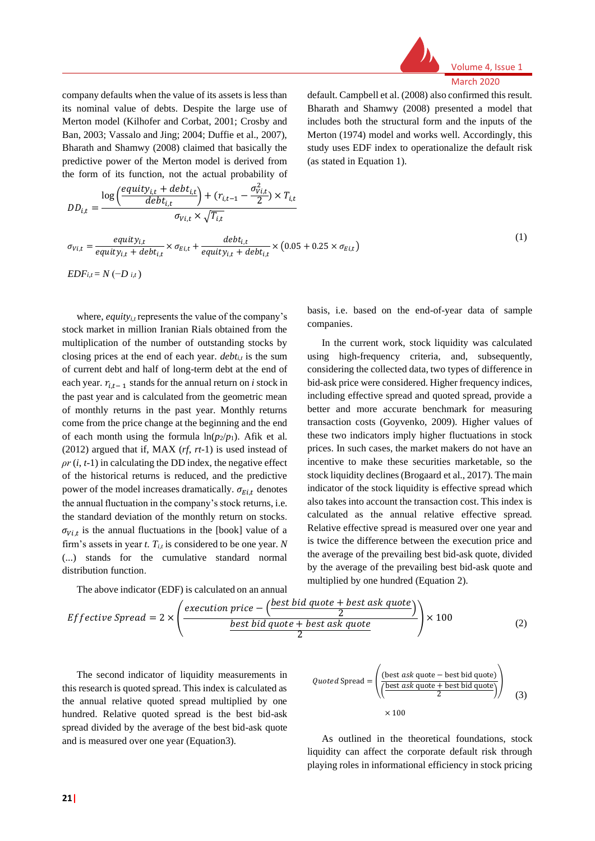

company defaults when the value of its assets is less than its nominal value of debts. Despite the large use of Merton model (Kilhofer and Corbat, 2001; Crosby and Ban, 2003; Vassalo and Jing; 2004; Duffie et al., 2007), Bharath and Shamwy (2008) claimed that basically the predictive power of the Merton model is derived from the form of its function, not the actual probability of default. Campbell et al. (2008) also confirmed this result. Bharath and Shamwy (2008) presented a model that includes both the structural form and the inputs of the Merton (1974) model and works well. Accordingly, this study uses EDF index to operationalize the default risk (as stated in Equation 1).

$$
DD_{i,t} = \frac{\log\left(\frac{equity_{i,t} + debt_{i,t}}{debt_{i,t}}\right) + (r_{i,t-1} - \frac{\sigma_{V,i,t}^2}{2}) \times T_{i,t}}{\sigma_{V,i,t} \times \sqrt{T_{i,t}}}
$$
  

$$
\sigma_{V,i,t} = \frac{equity_{i,t}}{equity_{i,t} + debt_{i,t}} \times \sigma_{E,i,t} + \frac{debt_{i,t}}{equity_{i,t} + debt_{i,t}} \times (0.05 + 0.25 \times \sigma_{E,i,t})
$$
 (1)

*EDFi*, $t = N(-D)$ *i*,*t*)

where, *equity<sub>it</sub>* represents the value of the company's stock market in million Iranian Rials obtained from the multiplication of the number of outstanding stocks by closing prices at the end of each year. *debti,t* is the sum of current debt and half of long-term debt at the end of each year.  $r_{i,t-1}$  stands for the annual return on *i* stock in the past year and is calculated from the geometric mean of monthly returns in the past year. Monthly returns come from the price change at the beginning and the end of each month using the formula  $\ln(p_2/p_1)$ . Afik et al. (2012) argued that if, MAX (*rf*, *rt*-1) is used instead of  $\rho r$  (*i*, *t*-1) in calculating the DD index, the negative effect of the historical returns is reduced, and the predictive power of the model increases dramatically.  $\sigma_{E i t}$  denotes the annual fluctuation in the company's stock returns, i.e. the standard deviation of the monthly return on stocks.  $\sigma_{Vi,t}$  is the annual fluctuations in the [book] value of a firm's assets in year *t*.  $T_{i,t}$  is considered to be one year. *N* (...) stands for the cumulative standard normal distribution function.

basis, i.e. based on the end-of-year data of sample companies.

In the current work, stock liquidity was calculated using high-frequency criteria, and, subsequently, considering the collected data, two types of difference in bid-ask price were considered. Higher frequency indices, including effective spread and quoted spread, provide a better and more accurate benchmark for measuring transaction costs (Goyvenko, 2009). Higher values of these two indicators imply higher fluctuations in stock prices. In such cases, the market makers do not have an incentive to make these securities marketable, so the stock liquidity declines (Brogaard et al., 2017). The main indicator of the stock liquidity is effective spread which also takes into account the transaction cost. This index is calculated as the annual relative effective spread. Relative effective spread is measured over one year and is twice the difference between the execution price and the average of the prevailing best bid-ask quote, divided by the average of the prevailing best bid-ask quote and multiplied by one hundred (Equation 2).

$$
Effective\,Speed = 2 \times \left(\frac{execution\,price - \left(\frac{best\,bid\,quote + best\,ask\,quote}{2}\right)}{\frac{best\,bid\,quote + best\,ask\,quote}{2}}\right) \times 100\tag{2}
$$

The second indicator of liquidity measurements in this research is quoted spread. This index is calculated as the annual relative quoted spread multiplied by one hundred. Relative quoted spread is the best bid-ask spread divided by the average of the best bid-ask quote and is measured over one year (Equation3).

The above indicator (EDF) is calculated on an annual

*Quoted* 
$$
Spread = \left( \frac{\text{(best ask quote} - best bid quote)}{\left( \frac{\text{best ask quote} + best bid quote}{2} \right)} \right)
$$

$$
\times 100 \tag{3}
$$

As outlined in the theoretical foundations, stock liquidity can affect the corporate default risk through playing roles in informational efficiency in stock pricing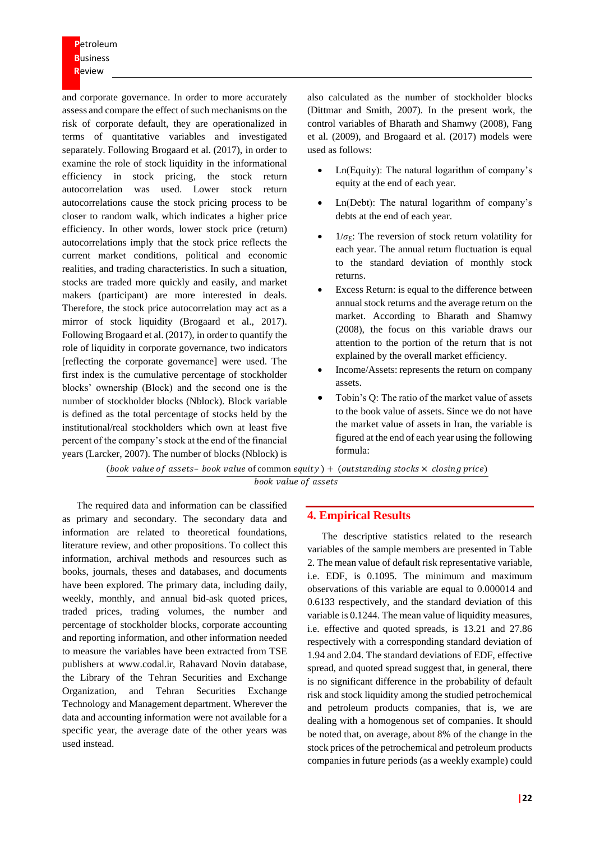**P**etroleum **B**usiness **R**eview

and corporate governance. In order to more accurately assess and compare the effect of such mechanisms on the risk of corporate default, they are operationalized in terms of quantitative variables and investigated separately. Following Brogaard et al. (2017), in order to examine the role of stock liquidity in the informational efficiency in stock pricing, the stock return autocorrelation was used. Lower stock return autocorrelations cause the stock pricing process to be closer to random walk, which indicates a higher price efficiency. In other words, lower stock price (return) autocorrelations imply that the stock price reflects the current market conditions, political and economic realities, and trading characteristics. In such a situation, stocks are traded more quickly and easily, and market makers (participant) are more interested in deals. Therefore, the stock price autocorrelation may act as a mirror of stock liquidity (Brogaard et al., 2017). Following Brogaard et al. (2017), in order to quantify the role of liquidity in corporate governance, two indicators [reflecting the corporate governance] were used. The first index is the cumulative percentage of stockholder blocks' ownership (Block) and the second one is the number of stockholder blocks (Nblock). Block variable is defined as the total percentage of stocks held by the institutional/real stockholders which own at least five percent of the company's stock at the end of the financial years (Larcker, 2007). The number of blocks (Nblock) is

also calculated as the number of stockholder blocks (Dittmar and Smith, 2007). In the present work, the control variables of Bharath and Shamwy (2008), Fang et al. (2009), and Brogaard et al. (2017) models were used as follows:

- Ln(Equity): The natural logarithm of company's equity at the end of each year.
- Ln(Debt): The natural logarithm of company's debts at the end of each year.
- $1/\sigma_E$ : The reversion of stock return volatility for each year. The annual return fluctuation is equal to the standard deviation of monthly stock returns.
- Excess Return: is equal to the difference between annual stock returns and the average return on the market. According to Bharath and Shamwy (2008), the focus on this variable draws our attention to the portion of the return that is not explained by the overall market efficiency.
- Income/Assets: represents the return on company assets.
- Tobin's Q: The ratio of the market value of assets to the book value of assets. Since we do not have the market value of assets in Iran, the variable is figured at the end of each year using the following formula:

(book value of assets- book value of common equity  $) +$  (outstanding stocks  $\times$  closing price) book value of assets

The required data and information can be classified as primary and secondary. The secondary data and information are related to theoretical foundations, literature review, and other propositions. To collect this information, archival methods and resources such as books, journals, theses and databases, and documents have been explored. The primary data, including daily, weekly, monthly, and annual bid-ask quoted prices, traded prices, trading volumes, the number and percentage of stockholder blocks, corporate accounting and reporting information, and other information needed to measure the variables have been extracted from TSE publishers at www.codal.ir, Rahavard Novin database, the Library of the Tehran Securities and Exchange Organization, and Tehran Securities Exchange Technology and Management department. Wherever the data and accounting information were not available for a specific year, the average date of the other years was used instead.

### **4. Empirical Results**

The descriptive statistics related to the research variables of the sample members are presented in Table 2. The mean value of default risk representative variable, i.e. EDF, is 0.1095. The minimum and maximum observations of this variable are equal to 0.000014 and 0.6133 respectively, and the standard deviation of this variable is 0.1244. The mean value of liquidity measures, i.e. effective and quoted spreads, is 13.21 and 27.86 respectively with a corresponding standard deviation of 1.94 and 2.04. The standard deviations of EDF, effective spread, and quoted spread suggest that, in general, there is no significant difference in the probability of default risk and stock liquidity among the studied petrochemical and petroleum products companies, that is, we are dealing with a homogenous set of companies. It should be noted that, on average, about 8% of the change in the stock prices of the petrochemical and petroleum products companies in future periods (as a weekly example) could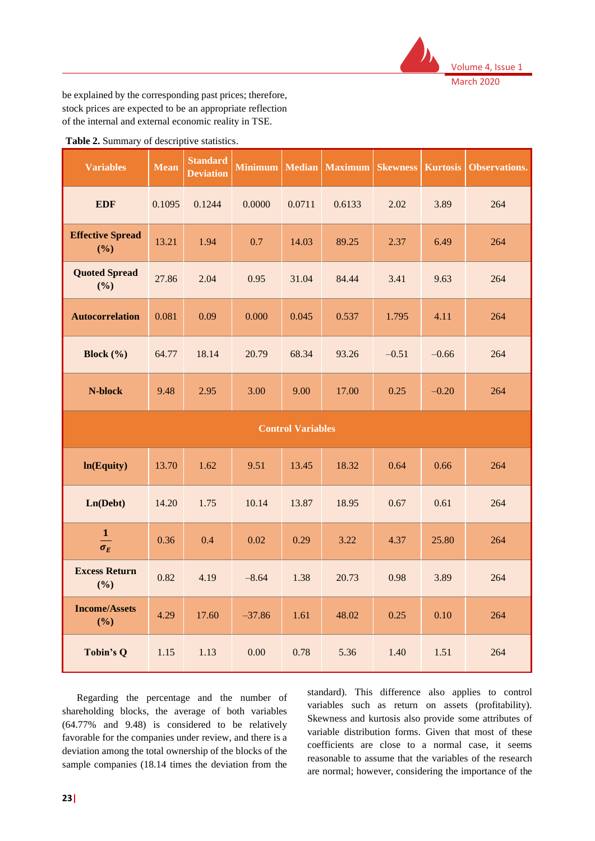

be explained by the corresponding past prices; therefore, stock prices are expected to be an appropriate reflection of the internal and external economic reality in TSE.

| <b>Variables</b>               | <b>Mean</b> | <b>Standard</b><br><b>Deviation</b> | <b>Minimum</b> | <b>Median</b> | <b>Maximum</b> | <b>Skewness</b> | <b>Kurtosis</b> | <b>Observations.</b> |
|--------------------------------|-------------|-------------------------------------|----------------|---------------|----------------|-----------------|-----------------|----------------------|
| <b>EDF</b>                     | 0.1095      | 0.1244                              | 0.0000         | 0.0711        | 0.6133         | 2.02            | 3.89            | 264                  |
| <b>Effective Spread</b><br>(%) | 13.21       | 1.94                                | 0.7            | 14.03         | 89.25          | 2.37            | 6.49            | 264                  |
| <b>Quoted Spread</b><br>(%)    | 27.86       | 2.04                                | 0.95           | 31.04         | 84.44          | 3.41            | 9.63            | 264                  |
| <b>Autocorrelation</b>         | 0.081       | 0.09                                | 0.000          | 0.045         | 0.537          | 1.795           | 4.11            | 264                  |
| Block $(\% )$                  | 64.77       | 18.14                               | 20.79          | 68.34         | 93.26          | $-0.51$         | $-0.66$         | 264                  |
| N-block                        | 9.48        | 2.95                                | 3.00           | 9.00          | 17.00          | 0.25            | $-0.20$         | 264                  |
| <b>Control Variables</b>       |             |                                     |                |               |                |                 |                 |                      |
| ln(Equity)                     | 13.70       | 1.62                                | 9.51           | 13.45         | 18.32          | 0.64            | 0.66            | 264                  |
| Ln(Debt)                       | 14.20       | 1.75                                | 10.14          | 13.87         | 18.95          | 0.67            | 0.61            | 264                  |
| $\mathbf{1}$<br>$\sigma_E$     | 0.36        | 0.4                                 | 0.02           | 0.29          | 3.22           | 4.37            | 25.80           | 264                  |
| <b>Excess Return</b><br>(%)    | 0.82        | 4.19                                | $-8.64$        | 1.38          | 20.73          | 0.98            | 3.89            | 264                  |
| <b>Income/Assets</b><br>(%)    | 4.29        | 17.60                               | $-37.86$       | 1.61          | 48.02          | 0.25            | 0.10            | 264                  |
| Tobin's Q                      | 1.15        | 1.13                                | 0.00           | 0.78          | 5.36           | 1.40            | 1.51            | 264                  |

**Table 2.** Summary of descriptive statistics.

Regarding the percentage and the number of shareholding blocks, the average of both variables (64.77% and 9.48) is considered to be relatively favorable for the companies under review, and there is a deviation among the total ownership of the blocks of the sample companies (18.14 times the deviation from the

standard). This difference also applies to control variables such as return on assets (profitability). Skewness and kurtosis also provide some attributes of variable distribution forms. Given that most of these coefficients are close to a normal case, it seems reasonable to assume that the variables of the research are normal; however, considering the importance of the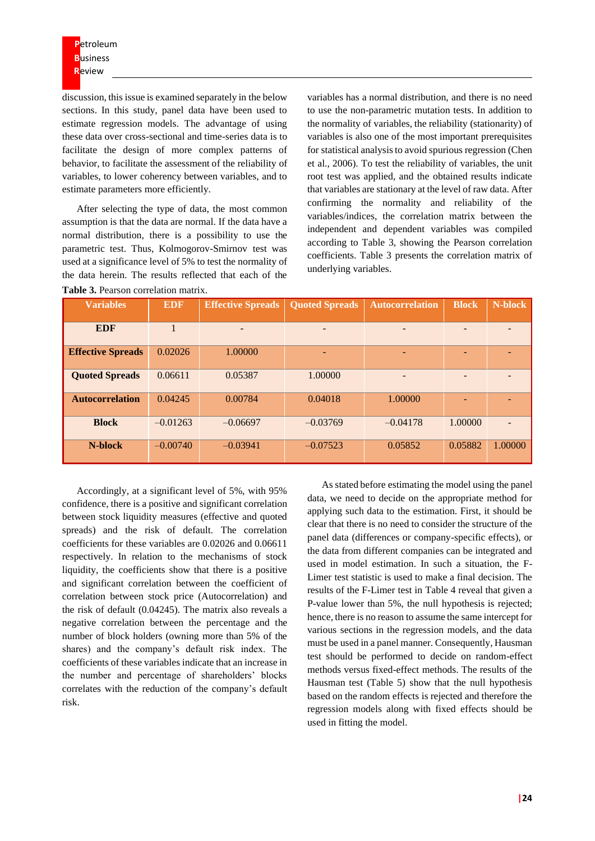discussion, this issue is examined separately in the below sections. In this study, panel data have been used to estimate regression models. The advantage of using these data over cross-sectional and time-series data is to facilitate the design of more complex patterns of behavior, to facilitate the assessment of the reliability of variables, to lower coherency between variables, and to estimate parameters more efficiently.

After selecting the type of data, the most common assumption is that the data are normal. If the data have a normal distribution, there is a possibility to use the parametric test. Thus, Kolmogorov-Smirnov test was used at a significance level of 5% to test the normality of the data herein. The results reflected that each of the **Table 3.** Pearson correlation matrix.

variables has a normal distribution, and there is no need to use the non-parametric mutation tests. In addition to the normality of variables, the reliability (stationarity) of variables is also one of the most important prerequisites for statistical analysis to avoid spurious regression (Chen et al., 2006). To test the reliability of variables, the unit root test was applied, and the obtained results indicate that variables are stationary at the level of raw data. After confirming the normality and reliability of the variables/indices, the correlation matrix between the independent and dependent variables was compiled according to Table 3, showing the Pearson correlation coefficients. Table 3 presents the correlation matrix of underlying variables.

| <b>Variables</b>         | <b>EDF</b> | <b>Effective Spreads</b> | <b>Quoted Spreads</b> | <b>Autocorrelation</b>   | <b>Block</b> | N-block |
|--------------------------|------------|--------------------------|-----------------------|--------------------------|--------------|---------|
| <b>EDF</b>               |            | -                        |                       | $\overline{\phantom{0}}$ |              |         |
| <b>Effective Spreads</b> | 0.02026    | 1.00000                  |                       |                          |              |         |
| <b>Quoted Spreads</b>    | 0.06611    | 0.05387                  | 1.00000               | $\overline{\phantom{0}}$ |              |         |
| <b>Autocorrelation</b>   | 0.04245    | 0.00784                  | 0.04018               | 1.00000                  |              |         |
| <b>Block</b>             | $-0.01263$ | $-0.06697$               | $-0.03769$            | $-0.04178$               | 1.00000      |         |
| N-block                  | $-0.00740$ | $-0.03941$               | $-0.07523$            | 0.05852                  | 0.05882      | 1.00000 |

Accordingly, at a significant level of 5%, with 95% confidence, there is a positive and significant correlation between stock liquidity measures (effective and quoted spreads) and the risk of default. The correlation coefficients for these variables are 0.02026 and 0.06611 respectively. In relation to the mechanisms of stock liquidity, the coefficients show that there is a positive and significant correlation between the coefficient of correlation between stock price (Autocorrelation) and the risk of default (0.04245). The matrix also reveals a negative correlation between the percentage and the number of block holders (owning more than 5% of the shares) and the company's default risk index. The coefficients of these variables indicate that an increase in the number and percentage of shareholders' blocks correlates with the reduction of the company's default risk.

As stated before estimating the model using the panel data, we need to decide on the appropriate method for applying such data to the estimation. First, it should be clear that there is no need to consider the structure of the panel data (differences or company-specific effects), or the data from different companies can be integrated and used in model estimation. In such a situation, the F-Limer test statistic is used to make a final decision. The results of the F-Limer test in Table 4 reveal that given a P-value lower than 5%, the null hypothesis is rejected; hence, there is no reason to assume the same intercept for various sections in the regression models, and the data must be used in a panel manner. Consequently, Hausman test should be performed to decide on random-effect methods versus fixed-effect methods. The results of the Hausman test (Table 5) show that the null hypothesis based on the random effects is rejected and therefore the regression models along with fixed effects should be used in fitting the model.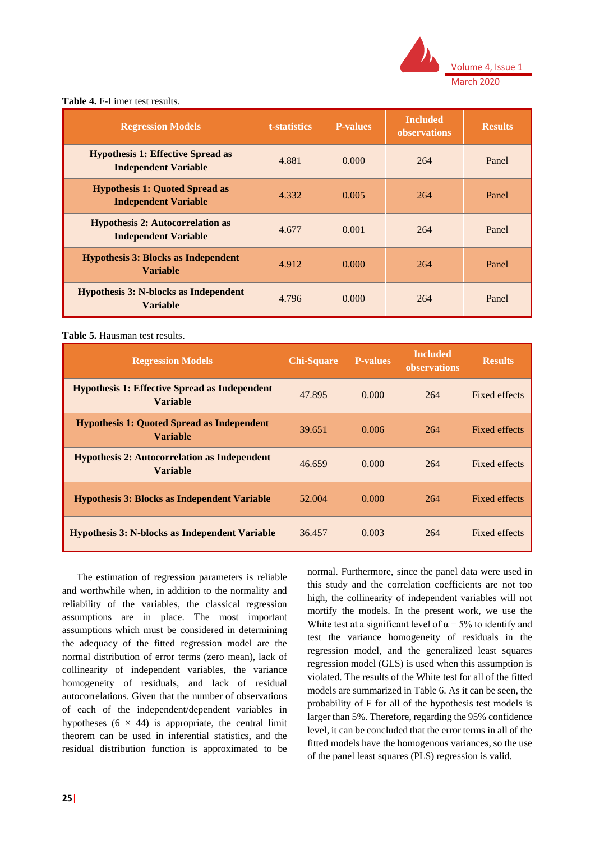

| <b>Table 4.</b> F-Limer test results. |  |  |  |  |  |
|---------------------------------------|--|--|--|--|--|
|---------------------------------------|--|--|--|--|--|

| <b>Regression Models</b>                                                | t-statistics | <b>P-values</b> | <b>Included</b><br>observations | <b>Results</b> |
|-------------------------------------------------------------------------|--------------|-----------------|---------------------------------|----------------|
| <b>Hypothesis 1: Effective Spread as</b><br><b>Independent Variable</b> | 4.881        | 0.000           | 264                             | Panel          |
| <b>Hypothesis 1: Quoted Spread as</b><br><b>Independent Variable</b>    | 4.332        | 0.005           | 264                             | Panel          |
| <b>Hypothesis 2: Autocorrelation as</b><br><b>Independent Variable</b>  | 4.677        | 0.001           | 264                             | Panel          |
| <b>Hypothesis 3: Blocks as Independent</b><br><b>Variable</b>           | 4.912        | 0.000           | 264                             | Panel          |
| <b>Hypothesis 3: N-blocks as Independent</b><br><b>Variable</b>         | 4.796        | 0.000           | 264                             | Panel          |

#### **Table 5.** Hausman test results.

| <b>Regression Models</b>                                                | <b>Chi-Square</b> | <b>P-values</b> | <b>Included</b><br>observations | <b>Results</b>       |
|-------------------------------------------------------------------------|-------------------|-----------------|---------------------------------|----------------------|
| <b>Hypothesis 1: Effective Spread as Independent</b><br><b>Variable</b> | 47.895            | 0.000           | 264                             | Fixed effects        |
| <b>Hypothesis 1: Quoted Spread as Independent</b><br><b>Variable</b>    | 39.651            | 0.006           | 264                             | <b>Fixed effects</b> |
| <b>Hypothesis 2: Autocorrelation as Independent</b><br><b>Variable</b>  | 46.659            | 0.000           | 264                             | Fixed effects        |
| <b>Hypothesis 3: Blocks as Independent Variable</b>                     | 52.004            | 0.000           | 264                             | Fixed effects        |
| <b>Hypothesis 3: N-blocks as Independent Variable</b>                   | 36.457            | 0.003           | 264                             | Fixed effects        |

The estimation of regression parameters is reliable and worthwhile when, in addition to the normality and reliability of the variables, the classical regression assumptions are in place. The most important assumptions which must be considered in determining the adequacy of the fitted regression model are the normal distribution of error terms (zero mean), lack of collinearity of independent variables, the variance homogeneity of residuals, and lack of residual autocorrelations. Given that the number of observations of each of the independent/dependent variables in hypotheses  $(6 \times 44)$  is appropriate, the central limit theorem can be used in inferential statistics, and the residual distribution function is approximated to be

normal. Furthermore, since the panel data were used in this study and the correlation coefficients are not too high, the collinearity of independent variables will not mortify the models. In the present work, we use the White test at a significant level of  $\alpha = 5\%$  to identify and test the variance homogeneity of residuals in the regression model, and the generalized least squares regression model (GLS) is used when this assumption is violated. The results of the White test for all of the fitted models are summarized in Table 6. As it can be seen, the probability of F for all of the hypothesis test models is larger than 5%. Therefore, regarding the 95% confidence level, it can be concluded that the error terms in all of the fitted models have the homogenous variances, so the use of the panel least squares (PLS) regression is valid.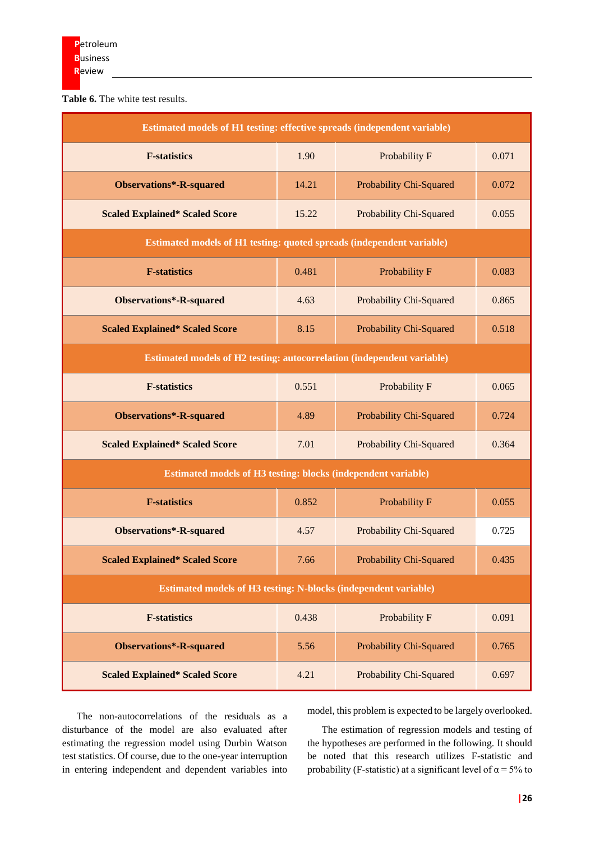**Table 6.** The white test results.

| Estimated models of H1 testing: effective spreads (independent variable) |       |                                |       |  |  |  |
|--------------------------------------------------------------------------|-------|--------------------------------|-------|--|--|--|
| <b>F-statistics</b>                                                      | 1.90  | Probability F                  | 0.071 |  |  |  |
| <b>Observations*-R-squared</b>                                           | 14.21 | Probability Chi-Squared        | 0.072 |  |  |  |
| <b>Scaled Explained* Scaled Score</b>                                    | 15.22 | Probability Chi-Squared        | 0.055 |  |  |  |
| Estimated models of H1 testing: quoted spreads (independent variable)    |       |                                |       |  |  |  |
| <b>F-statistics</b>                                                      | 0.481 | Probability F                  | 0.083 |  |  |  |
| Observations*-R-squared                                                  | 4.63  | Probability Chi-Squared        | 0.865 |  |  |  |
| <b>Scaled Explained* Scaled Score</b>                                    | 8.15  | Probability Chi-Squared        | 0.518 |  |  |  |
| Estimated models of H2 testing: autocorrelation (independent variable)   |       |                                |       |  |  |  |
| <b>F-statistics</b>                                                      | 0.551 | Probability F                  | 0.065 |  |  |  |
| <b>Observations*-R-squared</b>                                           | 4.89  | Probability Chi-Squared        | 0.724 |  |  |  |
| <b>Scaled Explained* Scaled Score</b>                                    | 7.01  | Probability Chi-Squared        | 0.364 |  |  |  |
| <b>Estimated models of H3 testing: blocks (independent variable)</b>     |       |                                |       |  |  |  |
| <b>F-statistics</b>                                                      | 0.852 | Probability F                  | 0.055 |  |  |  |
| Observations*-R-squared                                                  | 4.57  | Probability Chi-Squared        | 0.725 |  |  |  |
| <b>Scaled Explained* Scaled Score</b>                                    | 7.66  | Probability Chi-Squared        | 0.435 |  |  |  |
| Estimated models of H3 testing: N-blocks (independent variable)          |       |                                |       |  |  |  |
| <b>F-statistics</b>                                                      | 0.438 | Probability F                  | 0.091 |  |  |  |
| <b>Observations*-R-squared</b>                                           | 5.56  | <b>Probability Chi-Squared</b> | 0.765 |  |  |  |
| <b>Scaled Explained* Scaled Score</b>                                    | 4.21  | Probability Chi-Squared        | 0.697 |  |  |  |

The non-autocorrelations of the residuals as a disturbance of the model are also evaluated after estimating the regression model using Durbin Watson test statistics. Of course, due to the one-year interruption in entering independent and dependent variables into model, this problem is expected to be largely overlooked.

The estimation of regression models and testing of the hypotheses are performed in the following. It should be noted that this research utilizes F-statistic and probability (F-statistic) at a significant level of  $\alpha = 5\%$  to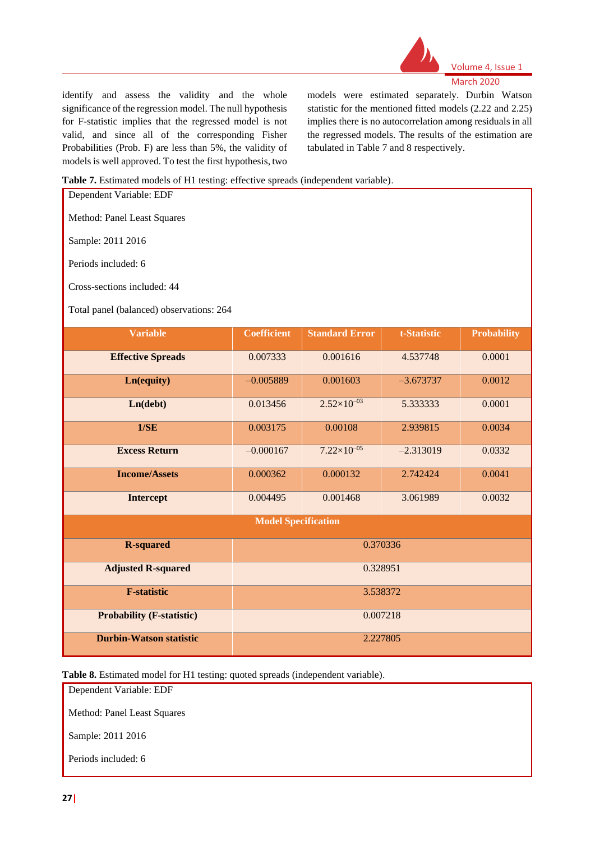

#### Volume 4, Issue 1 March 2020

identify and assess the validity and the whole significance of the regression model. The null hypothesis for F-statistic implies that the regressed model is not valid, and since all of the corresponding Fisher Probabilities (Prob. F) are less than 5%, the validity of models is well approved. To test the first hypothesis, two

models were estimated separately. Durbin Watson statistic for the mentioned fitted models (2.22 and 2.25) implies there is no autocorrelation among residuals in all the regressed models. The results of the estimation are tabulated in Table 7 and 8 respectively.

#### **Table 7.** Estimated models of H1 testing: effective spreads (independent variable).

| Dependent Variable: EDF                                                                             |                            |                      |             |        |  |  |  |  |
|-----------------------------------------------------------------------------------------------------|----------------------------|----------------------|-------------|--------|--|--|--|--|
| Method: Panel Least Squares                                                                         |                            |                      |             |        |  |  |  |  |
| Sample: 2011 2016                                                                                   |                            |                      |             |        |  |  |  |  |
| Periods included: 6                                                                                 |                            |                      |             |        |  |  |  |  |
| Cross-sections included: 44                                                                         |                            |                      |             |        |  |  |  |  |
| Total panel (balanced) observations: 264                                                            |                            |                      |             |        |  |  |  |  |
| <b>Variable</b><br><b>Coefficient</b><br><b>Standard Error</b><br><b>Probability</b><br>t-Statistic |                            |                      |             |        |  |  |  |  |
| <b>Effective Spreads</b>                                                                            | 0.007333                   | 0.001616             | 4.537748    | 0.0001 |  |  |  |  |
| Ln(equity)                                                                                          | $-0.005889$                | 0.001603             | $-3.673737$ | 0.0012 |  |  |  |  |
| Ln(debt)                                                                                            | 0.013456                   | $2.52\times10^{-03}$ | 5.333333    | 0.0001 |  |  |  |  |
| 1/SE                                                                                                | 0.003175                   | 0.00108              | 2.939815    | 0.0034 |  |  |  |  |
| <b>Excess Return</b>                                                                                | $-0.000167$                | $7.22\times10^{-05}$ | $-2.313019$ | 0.0332 |  |  |  |  |
| <b>Income/Assets</b>                                                                                | 0.000362                   | 0.000132             | 2.742424    | 0.0041 |  |  |  |  |
| <b>Intercept</b>                                                                                    | 0.004495                   | 0.001468             | 3.061989    | 0.0032 |  |  |  |  |
|                                                                                                     | <b>Model Specification</b> |                      |             |        |  |  |  |  |
| <b>R-squared</b>                                                                                    |                            |                      | 0.370336    |        |  |  |  |  |
| <b>Adjusted R-squared</b>                                                                           |                            | 0.328951             |             |        |  |  |  |  |
| <b>F-statistic</b>                                                                                  |                            |                      | 3.538372    |        |  |  |  |  |
| <b>Probability (F-statistic)</b>                                                                    |                            |                      | 0.007218    |        |  |  |  |  |
| <b>Durbin-Watson statistic</b>                                                                      |                            |                      | 2.227805    |        |  |  |  |  |

**Table 8.** Estimated model for H1 testing: quoted spreads (independent variable).

Dependent Variable: EDF Method: Panel Least Squares

Sample: 2011 2016

Periods included: 6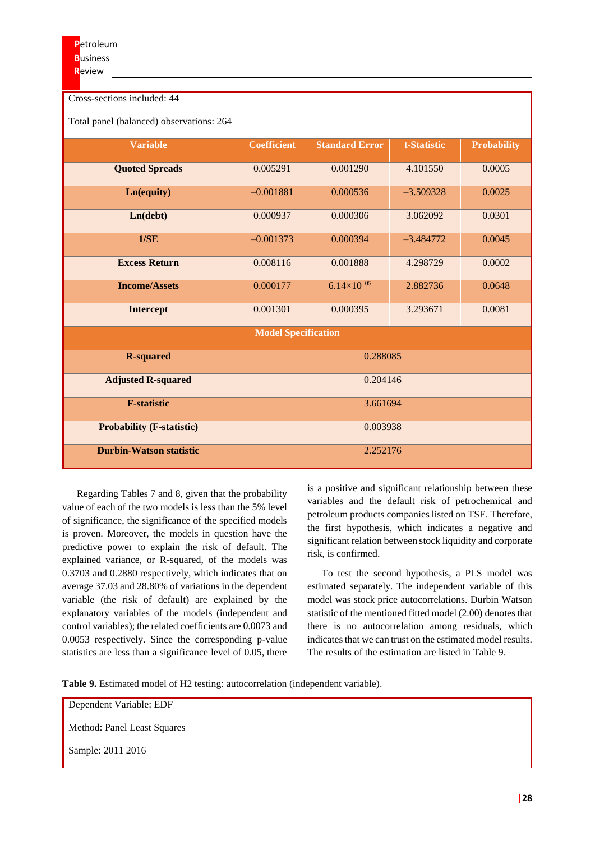| Cross-sections included: 44              |                            |                       |             |                    |  |  |  |
|------------------------------------------|----------------------------|-----------------------|-------------|--------------------|--|--|--|
| Total panel (balanced) observations: 264 |                            |                       |             |                    |  |  |  |
| <b>Variable</b>                          | <b>Coefficient</b>         | <b>Standard Error</b> | t-Statistic | <b>Probability</b> |  |  |  |
| <b>Quoted Spreads</b>                    | 0.005291                   | 0.001290              | 4.101550    | 0.0005             |  |  |  |
| Ln(equity)                               | $-0.001881$                | 0.000536              | $-3.509328$ | 0.0025             |  |  |  |
| Ln(debt)                                 | 0.000937                   | 0.000306              | 3.062092    | 0.0301             |  |  |  |
| 1/SE                                     | $-0.001373$                | 0.000394              | $-3.484772$ | 0.0045             |  |  |  |
| <b>Excess Return</b>                     | 0.008116                   | 0.001888              | 4.298729    | 0.0002             |  |  |  |
| <b>Income/Assets</b>                     | 0.000177                   | $6.14\times10^{-05}$  | 2.882736    | 0.0648             |  |  |  |
| <b>Intercept</b>                         | 0.001301                   | 0.000395              | 3.293671    | 0.0081             |  |  |  |
|                                          | <b>Model Specification</b> |                       |             |                    |  |  |  |
| <b>R-squared</b>                         |                            | 0.288085              |             |                    |  |  |  |
| <b>Adjusted R-squared</b>                | 0.204146                   |                       |             |                    |  |  |  |
| <b>F-statistic</b>                       |                            | 3.661694              |             |                    |  |  |  |
| <b>Probability (F-statistic)</b>         |                            | 0.003938              |             |                    |  |  |  |
| <b>Durbin-Watson statistic</b>           |                            | 2.252176              |             |                    |  |  |  |

Regarding Tables 7 and 8, given that the probability value of each of the two models is less than the 5% level of significance, the significance of the specified models is proven. Moreover, the models in question have the predictive power to explain the risk of default. The explained variance, or R-squared, of the models was 0.3703 and 0.2880 respectively, which indicates that on average 37.03 and 28.80% of variations in the dependent variable (the risk of default) are explained by the explanatory variables of the models (independent and control variables); the related coefficients are 0.0073 and 0.0053 respectively. Since the corresponding p-value statistics are less than a significance level of 0.05, there

is a positive and significant relationship between these variables and the default risk of petrochemical and petroleum products companies listed on TSE. Therefore, the first hypothesis, which indicates a negative and significant relation between stock liquidity and corporate risk, is confirmed.

To test the second hypothesis, a PLS model was estimated separately. The independent variable of this model was stock price autocorrelations. Durbin Watson statistic of the mentioned fitted model (2.00) denotes that there is no autocorrelation among residuals, which indicates that we can trust on the estimated model results. The results of the estimation are listed in Table 9.

**Table 9.** Estimated model of H2 testing: autocorrelation (independent variable).

Dependent Variable: EDF

Method: Panel Least Squares

Sample: 2011 2016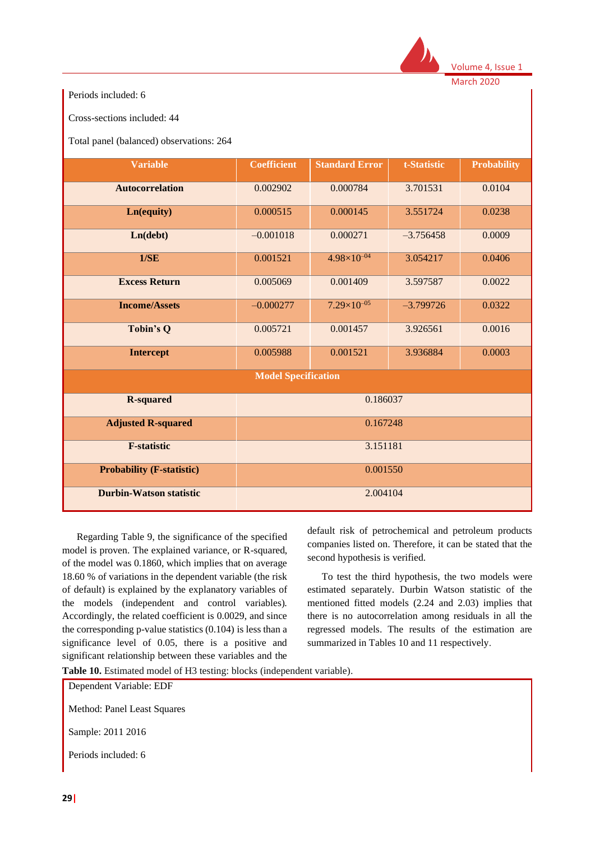

Volume 4, Issue 1

March 2020

Periods included: 6

Cross-sections included: 44

Total panel (balanced) observations: 264

| <b>Variable</b>                  | <b>Coefficient</b>         | <b>Standard Error</b>  | t-Statistic | <b>Probability</b> |  |
|----------------------------------|----------------------------|------------------------|-------------|--------------------|--|
| <b>Autocorrelation</b>           | 0.002902                   | 0.000784               | 3.701531    | 0.0104             |  |
| Ln(equity)                       | 0.000515                   | 0.000145               | 3.551724    | 0.0238             |  |
| Ln(debt)                         | $-0.001018$                | 0.000271               | $-3.756458$ | 0.0009             |  |
| 1/SE                             | 0.001521                   | $4.98 \times 10^{-04}$ | 3.054217    | 0.0406             |  |
| <b>Excess Return</b>             | 0.005069                   | 0.001409               | 3.597587    | 0.0022             |  |
| <b>Income/Assets</b>             | $-0.000277$                | $7.29\times10^{-05}$   | $-3.799726$ | 0.0322             |  |
| Tobin's Q                        | 0.005721                   | 0.001457               | 3.926561    | 0.0016             |  |
| <b>Intercept</b>                 | 0.005988                   | 0.001521               | 3.936884    | 0.0003             |  |
|                                  | <b>Model Specification</b> |                        |             |                    |  |
| <b>R-squared</b>                 |                            | 0.186037               |             |                    |  |
| <b>Adjusted R-squared</b>        | 0.167248                   |                        |             |                    |  |
| <b>F-statistic</b>               | 3.151181                   |                        |             |                    |  |
| <b>Probability (F-statistic)</b> |                            | 0.001550               |             |                    |  |
| <b>Durbin-Watson statistic</b>   |                            | 2.004104               |             |                    |  |

Regarding Table 9, the significance of the specified model is proven. The explained variance, or R-squared, of the model was 0.1860, which implies that on average 18.60 % of variations in the dependent variable (the risk of default) is explained by the explanatory variables of the models (independent and control variables). Accordingly, the related coefficient is 0.0029, and since the corresponding p-value statistics (0.104) is less than a significance level of 0.05, there is a positive and significant relationship between these variables and the

default risk of petrochemical and petroleum products companies listed on. Therefore, it can be stated that the second hypothesis is verified.

To test the third hypothesis, the two models were estimated separately. Durbin Watson statistic of the mentioned fitted models (2.24 and 2.03) implies that there is no autocorrelation among residuals in all the regressed models. The results of the estimation are summarized in Tables 10 and 11 respectively.

**Table 10.** Estimated model of H3 testing: blocks (independent variable).

| Dependent Variable: EDF     |  |
|-----------------------------|--|
| Method: Panel Least Squares |  |
| Sample: 2011 2016           |  |
| Periods included: 6         |  |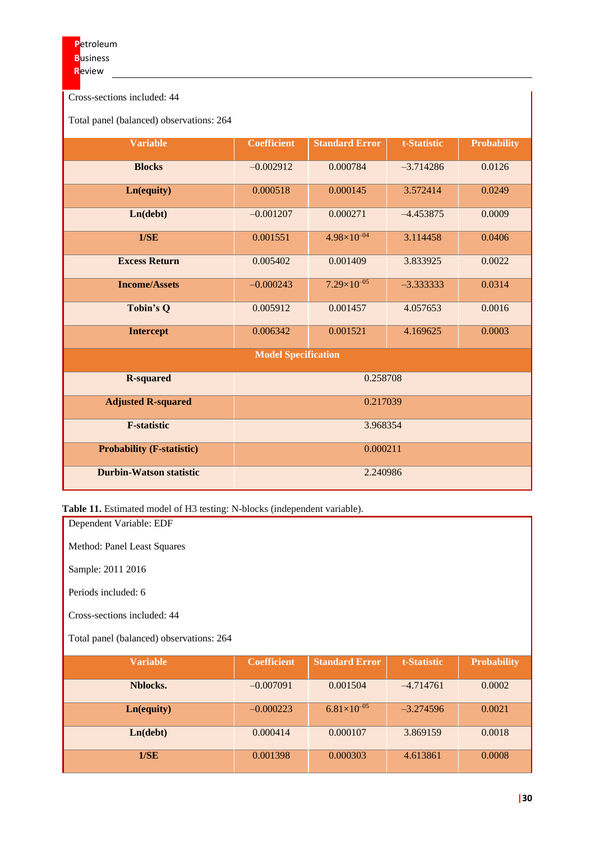Cross-sections included: 44

Total panel (balanced) observations: 264

| <b>Variable</b>                  | <b>Coefficient</b> | <b>Standard Error</b> | t-Statistic | <b>Probability</b> |  |  |
|----------------------------------|--------------------|-----------------------|-------------|--------------------|--|--|
| <b>Blocks</b>                    | $-0.002912$        | 0.000784              | $-3.714286$ | 0.0126             |  |  |
| Ln(equity)                       | 0.000518           | 0.000145              | 3.572414    | 0.0249             |  |  |
| Ln(debt)                         | $-0.001207$        | 0.000271              | $-4.453875$ | 0.0009             |  |  |
| 1/SE                             | 0.001551           | $4.98\times10^{-04}$  | 3.114458    | 0.0406             |  |  |
| <b>Excess Return</b>             | 0.005402           | 0.001409              | 3.833925    | 0.0022             |  |  |
| <b>Income/Assets</b>             | $-0.000243$        | $7.29\times10^{-05}$  | $-3.333333$ | 0.0314             |  |  |
| <b>Tobin's Q</b>                 | 0.005912           | 0.001457              | 4.057653    | 0.0016             |  |  |
| <b>Intercept</b>                 | 0.006342           | 0.001521              | 4.169625    | 0.0003             |  |  |
| <b>Model Specification</b>       |                    |                       |             |                    |  |  |
| <b>R-squared</b>                 | 0.258708           |                       |             |                    |  |  |
| <b>Adjusted R-squared</b>        | 0.217039           |                       |             |                    |  |  |
| <b>F-statistic</b>               | 3.968354           |                       |             |                    |  |  |
| <b>Probability (F-statistic)</b> | 0.000211           |                       |             |                    |  |  |
| <b>Durbin-Watson statistic</b>   | 2.240986           |                       |             |                    |  |  |

**Table 11.** Estimated model of H3 testing: N-blocks (independent variable).

Dependent Variable: EDF Method: Panel Least Squares

Sample: 2011 2016

Periods included: 6

Cross-sections included: 44

Total panel (balanced) observations: 264

| <b>Variable</b> | <b>Coefficient</b> | <b>Standard Error</b> | t-Statistic | <b>Probability</b> |
|-----------------|--------------------|-----------------------|-------------|--------------------|
|                 |                    |                       |             |                    |
| Nblocks.        | $-0.007091$        | 0.001504              | $-4.714761$ | 0.0002             |
|                 |                    |                       |             |                    |
| Ln(equity)      | $-0.000223$        | $6.81\times10^{-05}$  | $-3.274596$ | 0.0021             |
|                 |                    |                       |             |                    |
| Ln(debt)        | 0.000414           | 0.000107              | 3.869159    | 0.0018             |
|                 |                    |                       |             |                    |
| 1/SE            | 0.001398           | 0.000303              | 4.613861    | 0.0008             |
|                 |                    |                       |             |                    |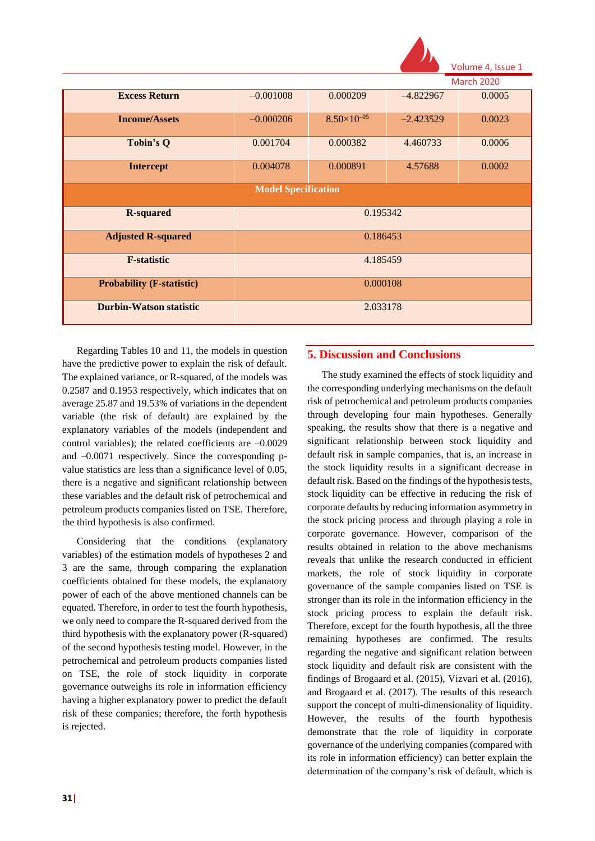

|                                  | <b>March 2020</b> |                      |             |        |  |  |
|----------------------------------|-------------------|----------------------|-------------|--------|--|--|
| <b>Excess Return</b>             | $-0.001008$       | 0.000209             | $-4.822967$ | 0.0005 |  |  |
| <b>Income/Assets</b>             | $-0.000206$       | $8.50\times10^{-05}$ | $-2.423529$ | 0.0023 |  |  |
| <b>Tobin's Q</b>                 | 0.001704          | 0.000382             | 4.460733    | 0.0006 |  |  |
| <b>Intercept</b>                 | 0.004078          | 0.000891             | 4.57688     | 0.0002 |  |  |
| <b>Model Specification</b>       |                   |                      |             |        |  |  |
| <b>R-squared</b>                 | 0.195342          |                      |             |        |  |  |
| <b>Adjusted R-squared</b>        | 0.186453          |                      |             |        |  |  |
| <b>F-statistic</b>               | 4.185459          |                      |             |        |  |  |
| <b>Probability (F-statistic)</b> | 0.000108          |                      |             |        |  |  |
| <b>Durbin-Watson statistic</b>   | 2.033178          |                      |             |        |  |  |

Regarding Tables 10 and 11, the models in question have the predictive power to explain the risk of default. The explained variance, or R-squared, of the models was 0.2587 and 0.1953 respectively, which indicates that on average 25.87 and 19.53% of variations in the dependent variable (the risk of default) are explained by the explanatory variables of the models (independent and control variables); the related coefficients are  $-0.0029$ and –0.0071 respectively. Since the corresponding pvalue statistics are less than a significance level of 0.05, there is a negative and significant relationship between these variables and the default risk of petrochemical and petroleum products companies listed on TSE. Therefore, the third hypothesis is also confirmed.

Considering that the conditions (explanatory variables) of the estimation models of hypotheses 2 and 3 are the same, through comparing the explanation coefficients obtained for these models, the explanatory power of each of the above mentioned channels can be equated. Therefore, in order to test the fourth hypothesis, we only need to compare the R-squared derived from the third hypothesis with the explanatory power (R-squared) of the second hypothesis testing model. However, in the petrochemical and petroleum products companies listed on TSE, the role of stock liquidity in corporate governance outweighs its role in information efficiency having a higher explanatory power to predict the default risk of these companies; therefore, the forth hypothesis is rejected.

## **5. Discussion and Conclusions**

The study examined the effects of stock liquidity and the corresponding underlying mechanisms on the default risk of petrochemical and petroleum products companies through developing four main hypotheses. Generally speaking, the results show that there is a negative and significant relationship between stock liquidity and default risk in sample companies, that is, an increase in the stock liquidity results in a significant decrease in default risk. Based on the findings of the hypothesis tests, stock liquidity can be effective in reducing the risk of corporate defaults by reducing information asymmetry in the stock pricing process and through playing a role in corporate governance. However, comparison of the results obtained in relation to the above mechanisms reveals that unlike the research conducted in efficient markets, the role of stock liquidity in corporate governance of the sample companies listed on TSE is stronger than its role in the information efficiency in the stock pricing process to explain the default risk. Therefore, except for the fourth hypothesis, all the three remaining hypotheses are confirmed. The results regarding the negative and significant relation between stock liquidity and default risk are consistent with the findings of Brogaard et al. (2015), Vizvari et al. (2016), and Brogaard et al. (2017). The results of this research support the concept of multi-dimensionality of liquidity. However, the results of the fourth hypothesis demonstrate that the role of liquidity in corporate governance of the underlying companies (compared with its role in information efficiency) can better explain the determination of the company's risk of default, which is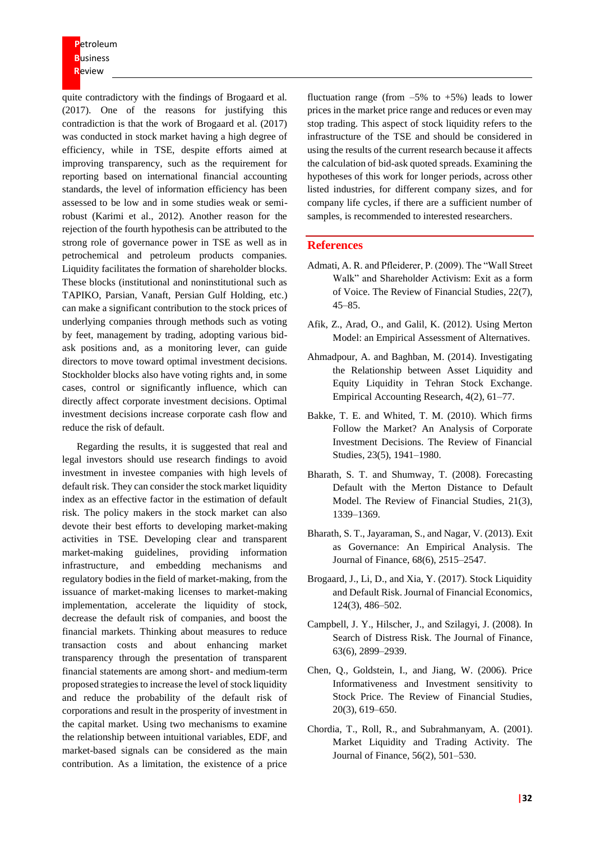**P**etroleum **B**usiness **R**eview

quite contradictory with the findings of Brogaard et al. (2017). One of the reasons for justifying this contradiction is that the work of Brogaard et al. (2017) was conducted in stock market having a high degree of efficiency, while in TSE, despite efforts aimed at improving transparency, such as the requirement for reporting based on international financial accounting standards, the level of information efficiency has been assessed to be low and in some studies weak or semirobust (Karimi et al., 2012). Another reason for the rejection of the fourth hypothesis can be attributed to the strong role of governance power in TSE as well as in petrochemical and petroleum products companies. Liquidity facilitates the formation of shareholder blocks. These blocks (institutional and noninstitutional such as TAPIKO, Parsian, Vanaft, Persian Gulf Holding, etc.) can make a significant contribution to the stock prices of underlying companies through methods such as voting by feet, management by trading, adopting various bidask positions and, as a monitoring lever, can guide directors to move toward optimal investment decisions. Stockholder blocks also have voting rights and, in some cases, control or significantly influence, which can directly affect corporate investment decisions. Optimal investment decisions increase corporate cash flow and reduce the risk of default.

Regarding the results, it is suggested that real and legal investors should use research findings to avoid investment in investee companies with high levels of default risk. They can consider the stock market liquidity index as an effective factor in the estimation of default risk. The policy makers in the stock market can also devote their best efforts to developing market-making activities in TSE. Developing clear and transparent market-making guidelines, providing information infrastructure, and embedding mechanisms and regulatory bodies in the field of market-making, from the issuance of market-making licenses to market-making implementation, accelerate the liquidity of stock, decrease the default risk of companies, and boost the financial markets. Thinking about measures to reduce transaction costs and about enhancing market transparency through the presentation of transparent financial statements are among short- and medium-term proposed strategies to increase the level of stock liquidity and reduce the probability of the default risk of corporations and result in the prosperity of investment in the capital market. Using two mechanisms to examine the relationship between intuitional variables, EDF, and market-based signals can be considered as the main contribution. As a limitation, the existence of a price

fluctuation range (from  $-5\%$  to  $+5\%$ ) leads to lower prices in the market price range and reduces or even may stop trading. This aspect of stock liquidity refers to the infrastructure of the TSE and should be considered in using the results of the current research because it affects the calculation of bid-ask quoted spreads. Examining the hypotheses of this work for longer periods, across other listed industries, for different company sizes, and for company life cycles, if there are a sufficient number of samples, is recommended to interested researchers.

### **References**

- Admati, A. R. and Pfleiderer, P. (2009). The "Wall Street Walk" and Shareholder Activism: Exit as a form of Voice. The Review of Financial Studies, 22(7), 45–85.
- Afik, Z., Arad, O., and Galil, K. (2012). Using Merton Model: an Empirical Assessment of Alternatives.
- Ahmadpour, A. and Baghban, M. (2014). Investigating the Relationship between Asset Liquidity and Equity Liquidity in Tehran Stock Exchange. Empirical Accounting Research, 4(2), 61–77.
- Bakke, T. E. and Whited, T. M. (2010). Which firms Follow the Market? An Analysis of Corporate Investment Decisions. The Review of Financial Studies, 23(5), 1941–1980.
- Bharath, S. T. and Shumway, T. (2008). Forecasting Default with the Merton Distance to Default Model. The Review of Financial Studies, 21(3), 1339–1369.
- Bharath, S. T., Jayaraman, S., and Nagar, V. (2013). Exit as Governance: An Empirical Analysis. The Journal of Finance, 68(6), 2515–2547.
- Brogaard, J., Li, D., and Xia, Y. (2017). Stock Liquidity and Default Risk. Journal of Financial Economics, 124(3), 486–502.
- Campbell, J. Y., Hilscher, J., and Szilagyi, J. (2008). In Search of Distress Risk. The Journal of Finance, 63(6), 2899–2939.
- Chen, Q., Goldstein, I., and Jiang, W. (2006). Price Informativeness and Investment sensitivity to Stock Price. The Review of Financial Studies, 20(3), 619–650.
- Chordia, T., Roll, R., and Subrahmanyam, A. (2001). Market Liquidity and Trading Activity. The Journal of Finance, 56(2), 501–530.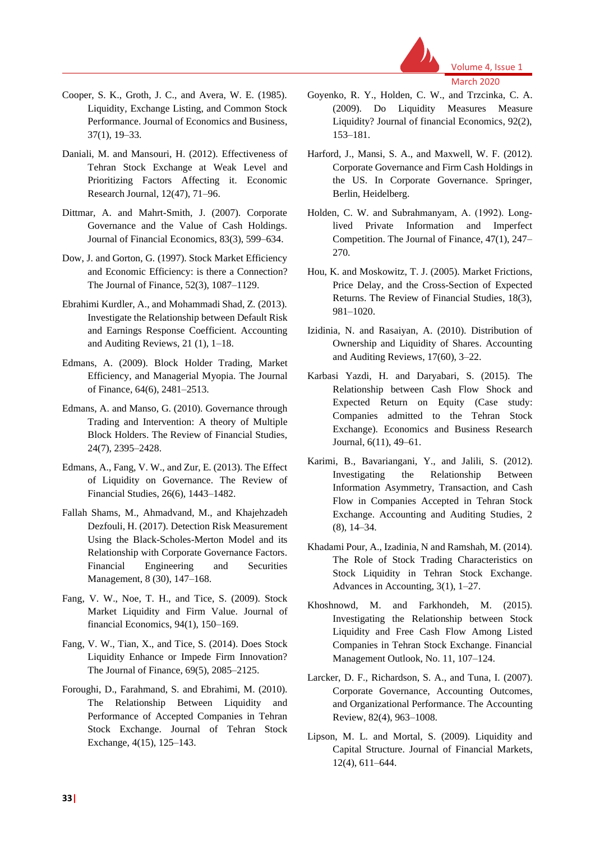

Volume 4, Issue 1 March 2020

- Cooper, S. K., Groth, J. C., and Avera, W. E. (1985). Liquidity, Exchange Listing, and Common Stock Performance. Journal of Economics and Business, 37(1), 19–33.
- Daniali, M. and Mansouri, H. (2012). Effectiveness of Tehran Stock Exchange at Weak Level and Prioritizing Factors Affecting it. Economic Research Journal, 12(47), 71–96.
- Dittmar, A. and Mahrt-Smith, J. (2007). Corporate Governance and the Value of Cash Holdings. Journal of Financial Economics, 83(3), 599–634.
- Dow, J. and Gorton, G. (1997). Stock Market Efficiency and Economic Efficiency: is there a Connection? The Journal of Finance, 52(3), 1087–1129.
- Ebrahimi Kurdler, A., and Mohammadi Shad, Z. (2013). Investigate the Relationship between Default Risk and Earnings Response Coefficient. Accounting and Auditing Reviews, 21 (1), 1–18.
- Edmans, A. (2009). Block Holder Trading, Market Efficiency, and Managerial Myopia. The Journal of Finance, 64(6), 2481–2513.
- Edmans, A. and Manso, G. (2010). Governance through Trading and Intervention: A theory of Multiple Block Holders. The Review of Financial Studies, 24(7), 2395–2428.
- Edmans, A., Fang, V. W., and Zur, E. (2013). The Effect of Liquidity on Governance. The Review of Financial Studies, 26(6), 1443–1482.
- Fallah Shams, M., Ahmadvand, M., and Khajehzadeh Dezfouli, H. (2017). Detection Risk Measurement Using the Black-Scholes-Merton Model and its Relationship with Corporate Governance Factors. Financial Engineering and Securities Management, 8 (30), 147–168.
- Fang, V. W., Noe, T. H., and Tice, S. (2009). Stock Market Liquidity and Firm Value. Journal of financial Economics, 94(1), 150–169.
- Fang, V. W., Tian, X., and Tice, S. (2014). Does Stock Liquidity Enhance or Impede Firm Innovation? The Journal of Finance, 69(5), 2085–2125.
- Foroughi, D., Farahmand, S. and Ebrahimi, M. (2010). The Relationship Between Liquidity and Performance of Accepted Companies in Tehran Stock Exchange. Journal of Tehran Stock Exchange, 4(15), 125–143.
- Goyenko, R. Y., Holden, C. W., and Trzcinka, C. A. (2009). Do Liquidity Measures Measure Liquidity? Journal of financial Economics, 92(2), 153–181.
- Harford, J., Mansi, S. A., and Maxwell, W. F. (2012). Corporate Governance and Firm Cash Holdings in the US. In Corporate Governance. Springer, Berlin, Heidelberg.
- Holden, C. W. and Subrahmanyam, A. (1992). Longlived Private Information and Imperfect Competition. The Journal of Finance, 47(1), 247– 270.
- Hou, K. and Moskowitz, T. J. (2005). Market Frictions, Price Delay, and the Cross-Section of Expected Returns. The Review of Financial Studies, 18(3), 981–1020.
- Izidinia, N. and Rasaiyan, A. (2010). Distribution of Ownership and Liquidity of Shares. Accounting and Auditing Reviews, 17(60), 3–22.
- Karbasi Yazdi, H. and Daryabari, S. (2015). The Relationship between Cash Flow Shock and Expected Return on Equity (Case study: Companies admitted to the Tehran Stock Exchange). Economics and Business Research Journal, 6(11), 49–61.
- Karimi, B., Bavariangani, Y., and Jalili, S. (2012). Investigating the Relationship Between Information Asymmetry, Transaction, and Cash Flow in Companies Accepted in Tehran Stock Exchange. Accounting and Auditing Studies, 2 (8), 14–34.
- Khadami Pour, A., Izadinia, N and Ramshah, M. (2014). The Role of Stock Trading Characteristics on Stock Liquidity in Tehran Stock Exchange. Advances in Accounting, 3(1), 1–27.
- Khoshnowd, M. and Farkhondeh, M. (2015). Investigating the Relationship between Stock Liquidity and Free Cash Flow Among Listed Companies in Tehran Stock Exchange. Financial Management Outlook, No. 11, 107–124.
- Larcker, D. F., Richardson, S. A., and Tuna, I. (2007). Corporate Governance, Accounting Outcomes, and Organizational Performance. The Accounting Review, 82(4), 963–1008.
- Lipson, M. L. and Mortal, S. (2009). Liquidity and Capital Structure. Journal of Financial Markets, 12(4), 611–644.